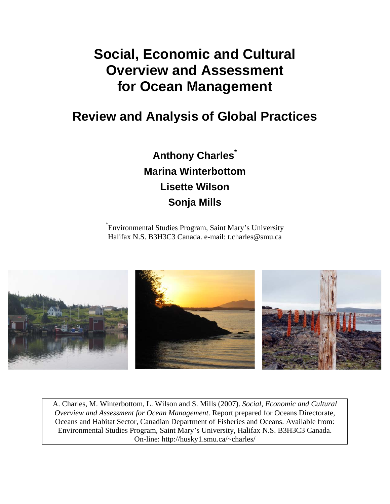# **Social, Economic and Cultural Overview and Assessment for Ocean Management**

# **Review and Analysis of Global Practices**

**Anthony Charles\* Marina Winterbottom Lisette Wilson Sonja Mills** 

\* Environmental Studies Program, Saint Mary's University Halifax N.S. B3H3C3 Canada. e-mail: t.charles@smu.ca



A. Charles, M. Winterbottom, L. Wilson and S. Mills (2007). *Social, Economic and Cultural Overview and Assessment for Ocean Management*. Report prepared for Oceans Directorate, Oceans and Habitat Sector, Canadian Department of Fisheries and Oceans. Available from: Environmental Studies Program, Saint Mary's University, Halifax N.S. B3H3C3 Canada. On-line: http://husky1.smu.ca/~charles/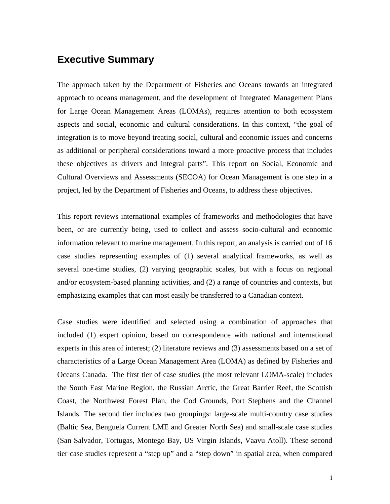### <span id="page-1-0"></span>**Executive Summary**

The approach taken by the Department of Fisheries and Oceans towards an integrated approach to oceans management, and the development of Integrated Management Plans for Large Ocean Management Areas (LOMAs), requires attention to both ecosystem aspects and social, economic and cultural considerations. In this context, "the goal of integration is to move beyond treating social, cultural and economic issues and concerns as additional or peripheral considerations toward a more proactive process that includes these objectives as drivers and integral parts". This report on Social, Economic and Cultural Overviews and Assessments (SECOA) for Ocean Management is one step in a project, led by the Department of Fisheries and Oceans, to address these objectives.

This report reviews international examples of frameworks and methodologies that have been, or are currently being, used to collect and assess socio-cultural and economic information relevant to marine management. In this report, an analysis is carried out of 16 case studies representing examples of (1) several analytical frameworks, as well as several one-time studies, (2) varying geographic scales, but with a focus on regional and/or ecosystem-based planning activities, and (2) a range of countries and contexts, but emphasizing examples that can most easily be transferred to a Canadian context.

Case studies were identified and selected using a combination of approaches that included (1) expert opinion, based on correspondence with national and international experts in this area of interest; (2) literature reviews and (3) assessments based on a set of characteristics of a Large Ocean Management Area (LOMA) as defined by Fisheries and Oceans Canada. The first tier of case studies (the most relevant LOMA-scale) includes the South East Marine Region, the Russian Arctic, the Great Barrier Reef, the Scottish Coast, the Northwest Forest Plan, the Cod Grounds, Port Stephens and the Channel Islands. The second tier includes two groupings: large-scale multi-country case studies (Baltic Sea, Benguela Current LME and Greater North Sea) and small-scale case studies (San Salvador, Tortugas, Montego Bay, US Virgin Islands, Vaavu Atoll). These second tier case studies represent a "step up" and a "step down" in spatial area, when compared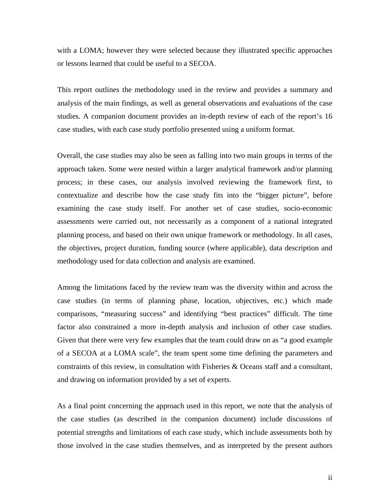with a LOMA; however they were selected because they illustrated specific approaches or lessons learned that could be useful to a SECOA.

This report outlines the methodology used in the review and provides a summary and analysis of the main findings, as well as general observations and evaluations of the case studies. A companion document provides an in-depth review of each of the report's 16 case studies, with each case study portfolio presented using a uniform format.

Overall, the case studies may also be seen as falling into two main groups in terms of the approach taken. Some were nested within a larger analytical framework and/or planning process; in these cases, our analysis involved reviewing the framework first, to contextualize and describe how the case study fits into the "bigger picture", before examining the case study itself. For another set of case studies, socio-economic assessments were carried out, not necessarily as a component of a national integrated planning process, and based on their own unique framework or methodology. In all cases, the objectives, project duration, funding source (where applicable), data description and methodology used for data collection and analysis are examined.

Among the limitations faced by the review team was the diversity within and across the case studies (in terms of planning phase, location, objectives, etc.) which made comparisons, "measuring success" and identifying "best practices" difficult. The time factor also constrained a more in-depth analysis and inclusion of other case studies. Given that there were very few examples that the team could draw on as "a good example of a SECOA at a LOMA scale", the team spent some time defining the parameters and constraints of this review, in consultation with Fisheries & Oceans staff and a consultant, and drawing on information provided by a set of experts.

As a final point concerning the approach used in this report, we note that the analysis of the case studies (as described in the companion document) include discussions of potential strengths and limitations of each case study, which include assessments both by those involved in the case studies themselves, and as interpreted by the present authors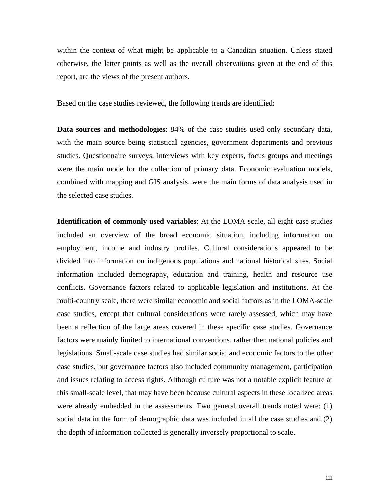within the context of what might be applicable to a Canadian situation. Unless stated otherwise, the latter points as well as the overall observations given at the end of this report, are the views of the present authors.

Based on the case studies reviewed, the following trends are identified:

**Data sources and methodologies**: 84% of the case studies used only secondary data, with the main source being statistical agencies, government departments and previous studies. Questionnaire surveys, interviews with key experts, focus groups and meetings were the main mode for the collection of primary data. Economic evaluation models, combined with mapping and GIS analysis, were the main forms of data analysis used in the selected case studies.

**Identification of commonly used variables**: At the LOMA scale, all eight case studies included an overview of the broad economic situation, including information on employment, income and industry profiles. Cultural considerations appeared to be divided into information on indigenous populations and national historical sites. Social information included demography, education and training, health and resource use conflicts. Governance factors related to applicable legislation and institutions. At the multi-country scale, there were similar economic and social factors as in the LOMA-scale case studies, except that cultural considerations were rarely assessed, which may have been a reflection of the large areas covered in these specific case studies. Governance factors were mainly limited to international conventions, rather then national policies and legislations. Small-scale case studies had similar social and economic factors to the other case studies, but governance factors also included community management, participation and issues relating to access rights. Although culture was not a notable explicit feature at this small-scale level, that may have been because cultural aspects in these localized areas were already embedded in the assessments. Two general overall trends noted were: (1) social data in the form of demographic data was included in all the case studies and (2) the depth of information collected is generally inversely proportional to scale.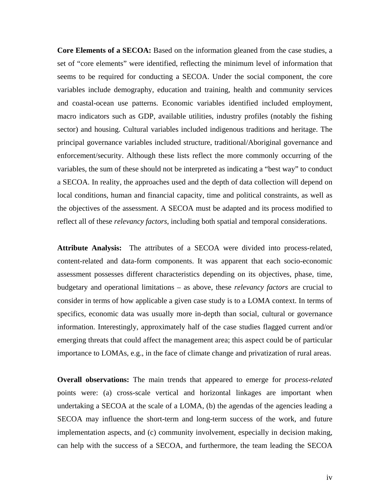**Core Elements of a SECOA:** Based on the information gleaned from the case studies, a set of "core elements" were identified, reflecting the minimum level of information that seems to be required for conducting a SECOA. Under the social component, the core variables include demography, education and training, health and community services and coastal-ocean use patterns. Economic variables identified included employment, macro indicators such as GDP, available utilities, industry profiles (notably the fishing sector) and housing. Cultural variables included indigenous traditions and heritage. The principal governance variables included structure, traditional/Aboriginal governance and enforcement/security. Although these lists reflect the more commonly occurring of the variables, the sum of these should not be interpreted as indicating a "best way" to conduct a SECOA. In reality, the approaches used and the depth of data collection will depend on local conditions, human and financial capacity, time and political constraints, as well as the objectives of the assessment. A SECOA must be adapted and its process modified to reflect all of these *relevancy factors*, including both spatial and temporal considerations.

**Attribute Analysis:** The attributes of a SECOA were divided into process-related, content-related and data-form components. It was apparent that each socio-economic assessment possesses different characteristics depending on its objectives, phase, time, budgetary and operational limitations – as above, these *relevancy factors* are crucial to consider in terms of how applicable a given case study is to a LOMA context. In terms of specifics, economic data was usually more in-depth than social, cultural or governance information. Interestingly, approximately half of the case studies flagged current and/or emerging threats that could affect the management area; this aspect could be of particular importance to LOMAs, e.g., in the face of climate change and privatization of rural areas.

**Overall observations:** The main trends that appeared to emerge for *process-related* points were: (a) cross-scale vertical and horizontal linkages are important when undertaking a SECOA at the scale of a LOMA, (b) the agendas of the agencies leading a SECOA may influence the short-term and long-term success of the work, and future implementation aspects, and (c) community involvement, especially in decision making, can help with the success of a SECOA, and furthermore, the team leading the SECOA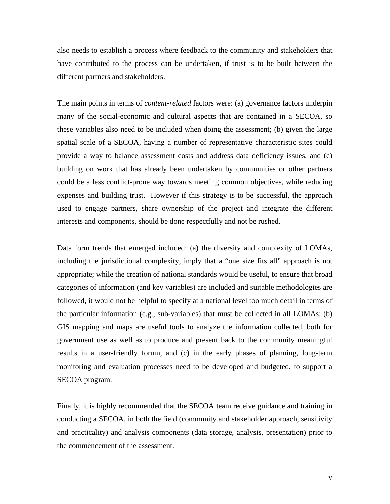also needs to establish a process where feedback to the community and stakeholders that have contributed to the process can be undertaken, if trust is to be built between the different partners and stakeholders.

The main points in terms of *content-related* factors were: (a) governance factors underpin many of the social-economic and cultural aspects that are contained in a SECOA, so these variables also need to be included when doing the assessment; (b) given the large spatial scale of a SECOA, having a number of representative characteristic sites could provide a way to balance assessment costs and address data deficiency issues, and (c) building on work that has already been undertaken by communities or other partners could be a less conflict-prone way towards meeting common objectives, while reducing expenses and building trust. However if this strategy is to be successful, the approach used to engage partners, share ownership of the project and integrate the different interests and components, should be done respectfully and not be rushed.

Data form trends that emerged included: (a) the diversity and complexity of LOMAs, including the jurisdictional complexity, imply that a "one size fits all" approach is not appropriate; while the creation of national standards would be useful, to ensure that broad categories of information (and key variables) are included and suitable methodologies are followed, it would not be helpful to specify at a national level too much detail in terms of the particular information (e.g., sub-variables) that must be collected in all LOMAs; (b) GIS mapping and maps are useful tools to analyze the information collected, both for government use as well as to produce and present back to the community meaningful results in a user-friendly forum, and (c) in the early phases of planning, long-term monitoring and evaluation processes need to be developed and budgeted, to support a SECOA program.

Finally, it is highly recommended that the SECOA team receive guidance and training in conducting a SECOA, in both the field (community and stakeholder approach, sensitivity and practicality) and analysis components (data storage, analysis, presentation) prior to the commencement of the assessment.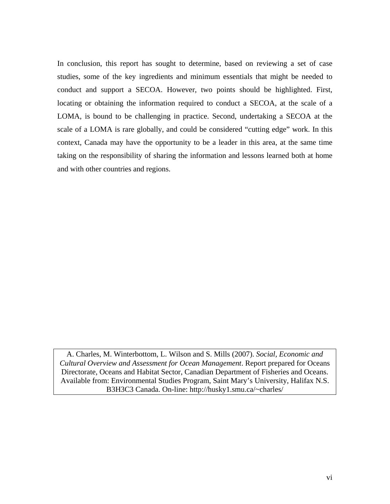In conclusion, this report has sought to determine, based on reviewing a set of case studies, some of the key ingredients and minimum essentials that might be needed to conduct and support a SECOA. However, two points should be highlighted. First, locating or obtaining the information required to conduct a SECOA, at the scale of a LOMA, is bound to be challenging in practice. Second, undertaking a SECOA at the scale of a LOMA is rare globally, and could be considered "cutting edge" work. In this context, Canada may have the opportunity to be a leader in this area, at the same time taking on the responsibility of sharing the information and lessons learned both at home and with other countries and regions.

A. Charles, M. Winterbottom, L. Wilson and S. Mills (2007). *Social, Economic and Cultural Overview and Assessment for Ocean Management*. Report prepared for Oceans Directorate, Oceans and Habitat Sector, Canadian Department of Fisheries and Oceans. Available from: Environmental Studies Program, Saint Mary's University, Halifax N.S. B3H3C3 Canada. On-line: http://husky1.smu.ca/~charles/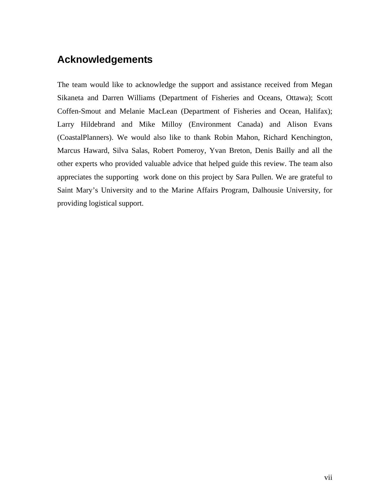### <span id="page-7-0"></span>**Acknowledgements**

The team would like to acknowledge the support and assistance received from Megan Sikaneta and Darren Williams (Department of Fisheries and Oceans, Ottawa); Scott Coffen-Smout and Melanie MacLean (Department of Fisheries and Ocean, Halifax); Larry Hildebrand and Mike Milloy (Environment Canada) and Alison Evans (CoastalPlanners). We would also like to thank Robin Mahon, Richard Kenchington, Marcus Haward, Silva Salas, Robert Pomeroy, Yvan Breton, Denis Bailly and all the other experts who provided valuable advice that helped guide this review. The team also appreciates the supporting work done on this project by Sara Pullen. We are grateful to Saint Mary's University and to the Marine Affairs Program, Dalhousie University, for providing logistical support.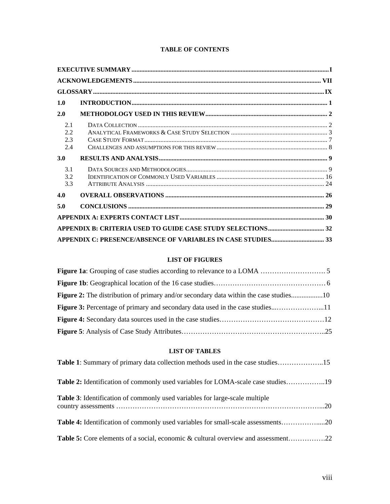#### **TABLE OF CONTENTS**

| 1.0 |  |  |  |  |  |  |  |  |
|-----|--|--|--|--|--|--|--|--|
| 2.0 |  |  |  |  |  |  |  |  |
| 2.1 |  |  |  |  |  |  |  |  |
| 2.2 |  |  |  |  |  |  |  |  |
| 2.3 |  |  |  |  |  |  |  |  |
| 2.4 |  |  |  |  |  |  |  |  |
| 3.0 |  |  |  |  |  |  |  |  |
| 3.1 |  |  |  |  |  |  |  |  |
| 3.2 |  |  |  |  |  |  |  |  |
| 3.3 |  |  |  |  |  |  |  |  |
| 4.0 |  |  |  |  |  |  |  |  |
| 5.0 |  |  |  |  |  |  |  |  |
|     |  |  |  |  |  |  |  |  |
|     |  |  |  |  |  |  |  |  |
|     |  |  |  |  |  |  |  |  |

#### **LIST OF FIGURES**

#### **LIST OF TABLES**

| <b>Table 3:</b> Identification of commonly used variables for large-scale multiple       |
|------------------------------------------------------------------------------------------|
|                                                                                          |
| <b>Table 5:</b> Core elements of a social, economic & cultural overview and assessment22 |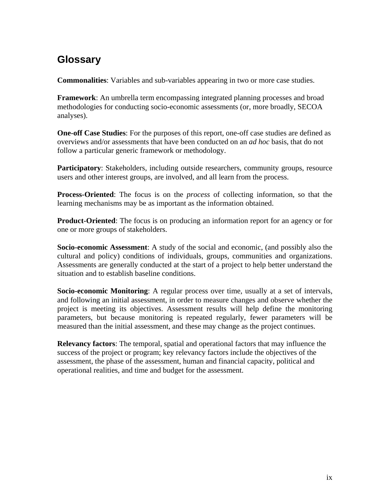## **Glossary**

**Commonalities**: Variables and sub-variables appearing in two or more case studies.

**Framework:** An umbrella term encompassing integrated planning processes and broad methodologies for conducting socio-economic assessments (or, more broadly, SECOA analyses).

**One-off Case Studies**: For the purposes of this report, one-off case studies are defined as overviews and/or assessments that have been conducted on an *ad hoc* basis, that do not follow a particular generic framework or methodology.

**Participatory**: Stakeholders, including outside researchers, community groups, resource users and other interest groups, are involved, and all learn from the process.

**Process-Oriented**: The focus is on the *process* of collecting information, so that the learning mechanisms may be as important as the information obtained.

**Product-Oriented**: The focus is on producing an information report for an agency or for one or more groups of stakeholders.

**Socio-economic Assessment**: A study of the social and economic, (and possibly also the cultural and policy) conditions of individuals, groups, communities and organizations. Assessments are generally conducted at the start of a project to help better understand the situation and to establish baseline conditions.

**Socio-economic Monitoring**: A regular process over time, usually at a set of intervals, and following an initial assessment, in order to measure changes and observe whether the project is meeting its objectives. Assessment results will help define the monitoring parameters, but because monitoring is repeated regularly, fewer parameters will be measured than the initial assessment, and these may change as the project continues.

**Relevancy factors**: The temporal, spatial and operational factors that may influence the success of the project or program; key relevancy factors include the objectives of the assessment, the phase of the assessment, human and financial capacity, political and operational realities, and time and budget for the assessment.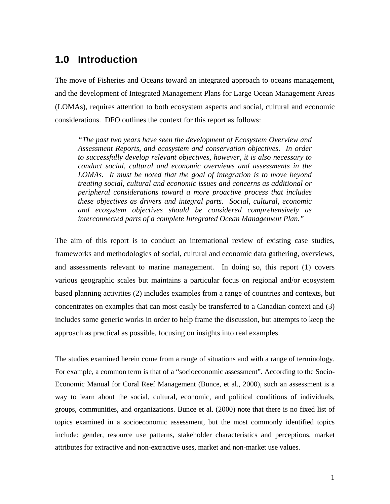### <span id="page-10-0"></span>**1.0 Introduction**

The move of Fisheries and Oceans toward an integrated approach to oceans management, and the development of Integrated Management Plans for Large Ocean Management Areas (LOMAs), requires attention to both ecosystem aspects and social, cultural and economic considerations. DFO outlines the context for this report as follows:

*"The past two years have seen the development of Ecosystem Overview and Assessment Reports, and ecosystem and conservation objectives. In order to successfully develop relevant objectives, however, it is also necessary to conduct social, cultural and economic overviews and assessments in the LOMAs. It must be noted that the goal of integration is to move beyond treating social, cultural and economic issues and concerns as additional or peripheral considerations toward a more proactive process that includes these objectives as drivers and integral parts. Social, cultural, economic and ecosystem objectives should be considered comprehensively as interconnected parts of a complete Integrated Ocean Management Plan."* 

The aim of this report is to conduct an international review of existing case studies, frameworks and methodologies of social, cultural and economic data gathering, overviews, and assessments relevant to marine management. In doing so, this report (1) covers various geographic scales but maintains a particular focus on regional and/or ecosystem based planning activities (2) includes examples from a range of countries and contexts, but concentrates on examples that can most easily be transferred to a Canadian context and (3) includes some generic works in order to help frame the discussion, but attempts to keep the approach as practical as possible, focusing on insights into real examples.

The studies examined herein come from a range of situations and with a range of terminology. For example, a common term is that of a "socioeconomic assessment". According to the Socio-Economic Manual for Coral Reef Management (Bunce, et al., 2000), such an assessment is a way to learn about the social, cultural, economic, and political conditions of individuals, groups, communities, and organizations. Bunce et al. (2000) note that there is no fixed list of topics examined in a socioeconomic assessment, but the most commonly identified topics include: gender, resource use patterns, stakeholder characteristics and perceptions, market attributes for extractive and non-extractive uses, market and non-market use values.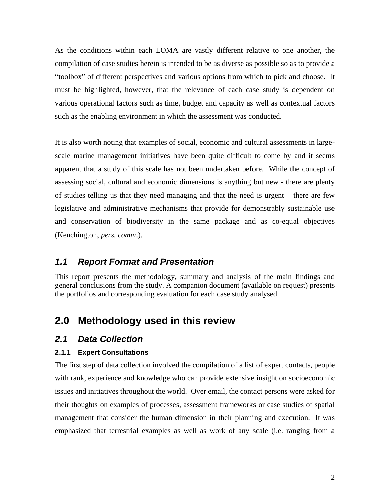<span id="page-11-0"></span>As the conditions within each LOMA are vastly different relative to one another, the compilation of case studies herein is intended to be as diverse as possible so as to provide a "toolbox" of different perspectives and various options from which to pick and choose. It must be highlighted, however, that the relevance of each case study is dependent on various operational factors such as time, budget and capacity as well as contextual factors such as the enabling environment in which the assessment was conducted.

It is also worth noting that examples of social, economic and cultural assessments in largescale marine management initiatives have been quite difficult to come by and it seems apparent that a study of this scale has not been undertaken before. While the concept of assessing social, cultural and economic dimensions is anything but new - there are plenty of studies telling us that they need managing and that the need is urgent – there are few legislative and administrative mechanisms that provide for demonstrably sustainable use and conservation of biodiversity in the same package and as co-equal objectives (Kenchington, *pers. comm*.).

#### *1.1 Report Format and Presentation*

This report presents the methodology, summary and analysis of the main findings and general conclusions from the study. A companion document (available on request) presents the portfolios and corresponding evaluation for each case study analysed.

### **2.0 Methodology used in this review**

#### *2.1 Data Collection*

#### **2.1.1 Expert Consultations**

The first step of data collection involved the compilation of a list of expert contacts, people with rank, experience and knowledge who can provide extensive insight on socioeconomic issues and initiatives throughout the world. Over email, the contact persons were asked for their thoughts on examples of processes, assessment frameworks or case studies of spatial management that consider the human dimension in their planning and execution. It was emphasized that terrestrial examples as well as work of any scale (i.e. ranging from a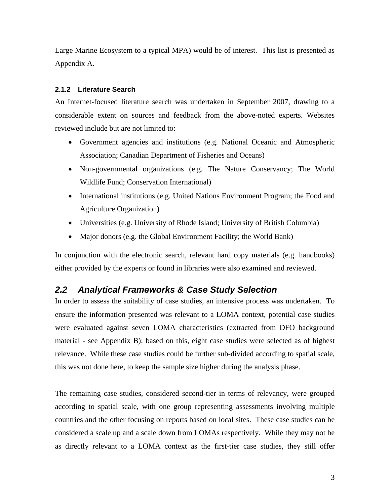<span id="page-12-0"></span>Large Marine Ecosystem to a typical MPA) would be of interest. This list is presented as Appendix A.

#### **2.1.2 Literature Search**

An Internet-focused literature search was undertaken in September 2007, drawing to a considerable extent on sources and feedback from the above-noted experts. Websites reviewed include but are not limited to:

- Government agencies and institutions (e.g. National Oceanic and Atmospheric Association; Canadian Department of Fisheries and Oceans)
- Non-governmental organizations (e.g. The Nature Conservancy; The World Wildlife Fund; Conservation International)
- International institutions (e.g. United Nations Environment Program; the Food and Agriculture Organization)
- Universities (e.g. University of Rhode Island; University of British Columbia)
- Major donors (e.g. the Global Environment Facility; the World Bank)

In conjunction with the electronic search, relevant hard copy materials (e.g. handbooks) either provided by the experts or found in libraries were also examined and reviewed.

#### *2.2 Analytical Frameworks & Case Study Selection*

In order to assess the suitability of case studies, an intensive process was undertaken. To ensure the information presented was relevant to a LOMA context, potential case studies were evaluated against seven LOMA characteristics (extracted from DFO background material - see Appendix B); based on this, eight case studies were selected as of highest relevance. While these case studies could be further sub-divided according to spatial scale, this was not done here, to keep the sample size higher during the analysis phase.

The remaining case studies, considered second-tier in terms of relevancy, were grouped according to spatial scale, with one group representing assessments involving multiple countries and the other focusing on reports based on local sites. These case studies can be considered a scale up and a scale down from LOMAs respectively. While they may not be as directly relevant to a LOMA context as the first-tier case studies, they still offer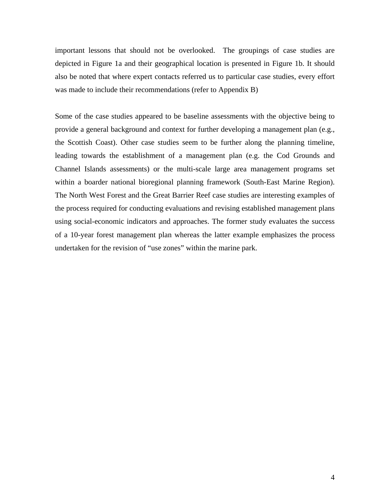important lessons that should not be overlooked. The groupings of case studies are depicted in Figure 1a and their geographical location is presented in Figure 1b. It should also be noted that where expert contacts referred us to particular case studies, every effort was made to include their recommendations (refer to Appendix B)

Some of the case studies appeared to be baseline assessments with the objective being to provide a general background and context for further developing a management plan (e.g., the Scottish Coast). Other case studies seem to be further along the planning timeline, leading towards the establishment of a management plan (e.g. the Cod Grounds and Channel Islands assessments) or the multi-scale large area management programs set within a boarder national bioregional planning framework (South-East Marine Region). The North West Forest and the Great Barrier Reef case studies are interesting examples of the process required for conducting evaluations and revising established management plans using social-economic indicators and approaches. The former study evaluates the success of a 10-year forest management plan whereas the latter example emphasizes the process undertaken for the revision of "use zones" within the marine park.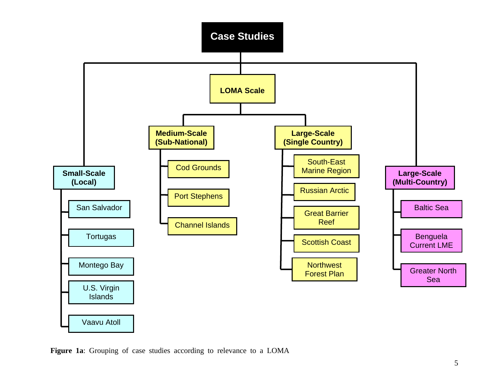

**Figure 1a**: Grouping of case studies according to relevance to a LOMA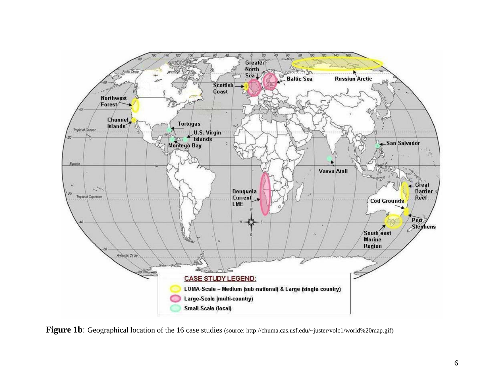

Figure 1b: Geographical location of the 16 case studies (source: http://chuma.cas.usf.edu/~juster/volc1/world%20map.gif)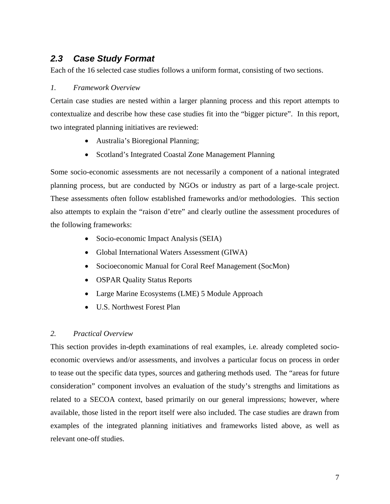### <span id="page-16-0"></span>*2.3 Case Study Format*

Each of the 16 selected case studies follows a uniform format, consisting of two sections.

#### *1. Framework Overview*

Certain case studies are nested within a larger planning process and this report attempts to contextualize and describe how these case studies fit into the "bigger picture". In this report, two integrated planning initiatives are reviewed:

- Australia's Bioregional Planning;
- Scotland's Integrated Coastal Zone Management Planning

Some socio-economic assessments are not necessarily a component of a national integrated planning process, but are conducted by NGOs or industry as part of a large-scale project. These assessments often follow established frameworks and/or methodologies. This section also attempts to explain the "raison d'etre" and clearly outline the assessment procedures of the following frameworks:

- Socio-economic Impact Analysis (SEIA)
- Global International Waters Assessment (GIWA)
- Socioeconomic Manual for Coral Reef Management (SocMon)
- OSPAR Quality Status Reports
- Large Marine Ecosystems (LME) 5 Module Approach
- U.S. Northwest Forest Plan

#### *2. Practical Overview*

This section provides in-depth examinations of real examples, i.e. already completed socioeconomic overviews and/or assessments, and involves a particular focus on process in order to tease out the specific data types, sources and gathering methods used. The "areas for future consideration" component involves an evaluation of the study's strengths and limitations as related to a SECOA context, based primarily on our general impressions; however, where available, those listed in the report itself were also included. The case studies are drawn from examples of the integrated planning initiatives and frameworks listed above, as well as relevant one-off studies.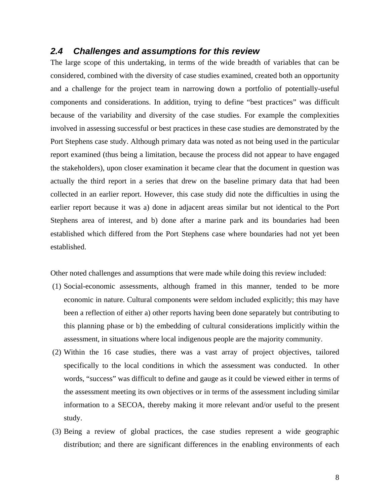#### <span id="page-17-0"></span>*2.4 Challenges and assumptions for this review*

The large scope of this undertaking, in terms of the wide breadth of variables that can be considered, combined with the diversity of case studies examined, created both an opportunity and a challenge for the project team in narrowing down a portfolio of potentially-useful components and considerations. In addition, trying to define "best practices" was difficult because of the variability and diversity of the case studies. For example the complexities involved in assessing successful or best practices in these case studies are demonstrated by the Port Stephens case study. Although primary data was noted as not being used in the particular report examined (thus being a limitation, because the process did not appear to have engaged the stakeholders), upon closer examination it became clear that the document in question was actually the third report in a series that drew on the baseline primary data that had been collected in an earlier report. However, this case study did note the difficulties in using the earlier report because it was a) done in adjacent areas similar but not identical to the Port Stephens area of interest, and b) done after a marine park and its boundaries had been established which differed from the Port Stephens case where boundaries had not yet been established.

Other noted challenges and assumptions that were made while doing this review included:

- (1) Social-economic assessments, although framed in this manner, tended to be more economic in nature. Cultural components were seldom included explicitly; this may have been a reflection of either a) other reports having been done separately but contributing to this planning phase or b) the embedding of cultural considerations implicitly within the assessment, in situations where local indigenous people are the majority community.
- (2) Within the 16 case studies, there was a vast array of project objectives, tailored specifically to the local conditions in which the assessment was conducted. In other words, "success" was difficult to define and gauge as it could be viewed either in terms of the assessment meeting its own objectives or in terms of the assessment including similar information to a SECOA, thereby making it more relevant and/or useful to the present study.
- (3) Being a review of global practices, the case studies represent a wide geographic distribution; and there are significant differences in the enabling environments of each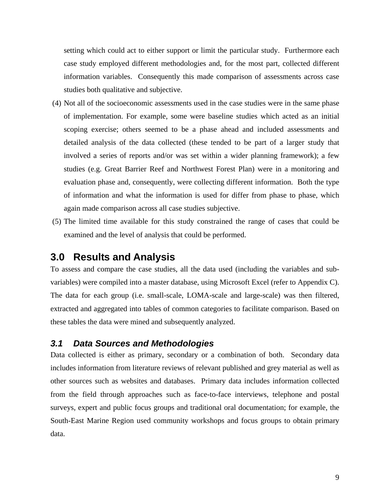<span id="page-18-0"></span>setting which could act to either support or limit the particular study. Furthermore each case study employed different methodologies and, for the most part, collected different information variables. Consequently this made comparison of assessments across case studies both qualitative and subjective.

- (4) Not all of the socioeconomic assessments used in the case studies were in the same phase of implementation. For example, some were baseline studies which acted as an initial scoping exercise; others seemed to be a phase ahead and included assessments and detailed analysis of the data collected (these tended to be part of a larger study that involved a series of reports and/or was set within a wider planning framework); a few studies (e.g. Great Barrier Reef and Northwest Forest Plan) were in a monitoring and evaluation phase and, consequently, were collecting different information. Both the type of information and what the information is used for differ from phase to phase, which again made comparison across all case studies subjective.
- (5) The limited time available for this study constrained the range of cases that could be examined and the level of analysis that could be performed.

### **3.0 Results and Analysis**

To assess and compare the case studies, all the data used (including the variables and subvariables) were compiled into a master database, using Microsoft Excel (refer to Appendix C). The data for each group (i.e. small-scale, LOMA-scale and large-scale) was then filtered, extracted and aggregated into tables of common categories to facilitate comparison. Based on these tables the data were mined and subsequently analyzed.

#### *3.1 Data Sources and Methodologies*

Data collected is either as primary, secondary or a combination of both. Secondary data includes information from literature reviews of relevant published and grey material as well as other sources such as websites and databases. Primary data includes information collected from the field through approaches such as face-to-face interviews, telephone and postal surveys, expert and public focus groups and traditional oral documentation; for example, the South-East Marine Region used community workshops and focus groups to obtain primary data.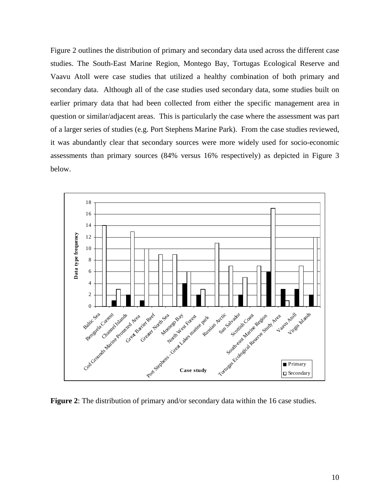Figure 2 outlines the distribution of primary and secondary data used across the different case studies. The South-East Marine Region, Montego Bay, Tortugas Ecological Reserve and Vaavu Atoll were case studies that utilized a healthy combination of both primary and secondary data. Although all of the case studies used secondary data, some studies built on earlier primary data that had been collected from either the specific management area in question or similar/adjacent areas. This is particularly the case where the assessment was part of a larger series of studies (e.g. Port Stephens Marine Park). From the case studies reviewed, it was abundantly clear that secondary sources were more widely used for socio-economic assessments than primary sources (84% versus 16% respectively) as depicted in Figure 3 below.



**Figure 2**: The distribution of primary and/or secondary data within the 16 case studies.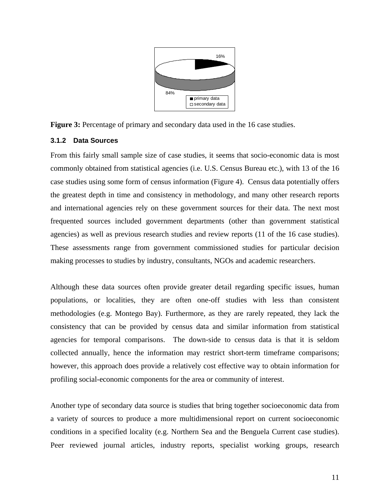

**Figure 3:** Percentage of primary and secondary data used in the 16 case studies.

#### **3.1.2 Data Sources**

From this fairly small sample size of case studies, it seems that socio-economic data is most commonly obtained from statistical agencies (i.e. U.S. Census Bureau etc.), with 13 of the 16 case studies using some form of census information (Figure 4). Census data potentially offers the greatest depth in time and consistency in methodology, and many other research reports and international agencies rely on these government sources for their data. The next most frequented sources included government departments (other than government statistical agencies) as well as previous research studies and review reports (11 of the 16 case studies). These assessments range from government commissioned studies for particular decision making processes to studies by industry, consultants, NGOs and academic researchers.

Although these data sources often provide greater detail regarding specific issues, human populations, or localities, they are often one-off studies with less than consistent methodologies (e.g. Montego Bay). Furthermore, as they are rarely repeated, they lack the consistency that can be provided by census data and similar information from statistical agencies for temporal comparisons. The down-side to census data is that it is seldom collected annually, hence the information may restrict short-term timeframe comparisons; however, this approach does provide a relatively cost effective way to obtain information for profiling social-economic components for the area or community of interest.

Another type of secondary data source is studies that bring together socioeconomic data from a variety of sources to produce a more multidimensional report on current socioeconomic conditions in a specified locality (e.g. Northern Sea and the Benguela Current case studies). Peer reviewed journal articles, industry reports, specialist working groups, research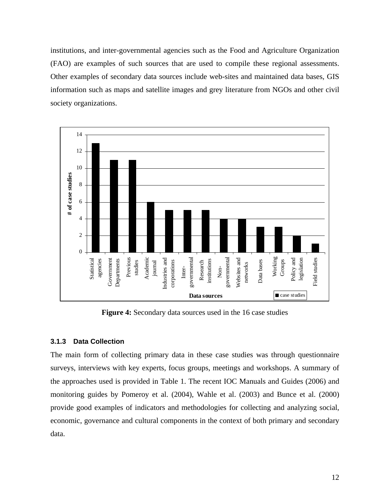institutions, and inter-governmental agencies such as the Food and Agriculture Organization (FAO) are examples of such sources that are used to compile these regional assessments. Other examples of secondary data sources include web-sites and maintained data bases, GIS information such as maps and satellite images and grey literature from NGOs and other civil society organizations.



**Figure 4:** Secondary data sources used in the 16 case studies

#### **3.1.3 Data Collection**

The main form of collecting primary data in these case studies was through questionnaire surveys, interviews with key experts, focus groups, meetings and workshops. A summary of the approaches used is provided in Table 1. The recent IOC Manuals and Guides (2006) and monitoring guides by Pomeroy et al. (2004), Wahle et al. (2003) and Bunce et al. (2000) provide good examples of indicators and methodologies for collecting and analyzing social, economic, governance and cultural components in the context of both primary and secondary data.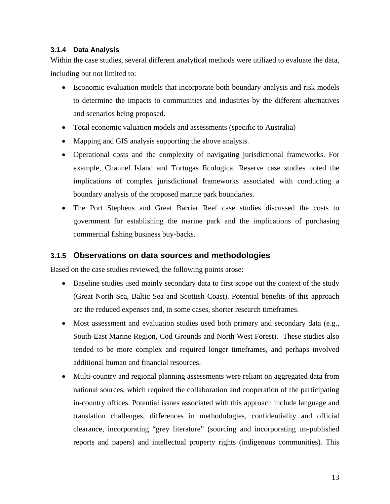#### **3.1.4 Data Analysis**

Within the case studies, several different analytical methods were utilized to evaluate the data, including but not limited to:

- Economic evaluation models that incorporate both boundary analysis and risk models to determine the impacts to communities and industries by the different alternatives and scenarios being proposed.
- Total economic valuation models and assessments (specific to Australia)
- Mapping and GIS analysis supporting the above analysis.
- Operational costs and the complexity of navigating jurisdictional frameworks. For example, Channel Island and Tortugas Ecological Reserve case studies noted the implications of complex jurisdictional frameworks associated with conducting a boundary analysis of the proposed marine park boundaries.
- The Port Stephens and Great Barrier Reef case studies discussed the costs to government for establishing the marine park and the implications of purchasing commercial fishing business buy-backs.

#### **3.1.5 Observations on data sources and methodologies**

Based on the case studies reviewed, the following points arose:

- Baseline studies used mainly secondary data to first scope out the context of the study (Great North Sea, Baltic Sea and Scottish Coast). Potential benefits of this approach are the reduced expenses and, in some cases, shorter research timeframes.
- Most assessment and evaluation studies used both primary and secondary data (e.g., South-East Marine Region, Cod Grounds and North West Forest). These studies also tended to be more complex and required longer timeframes, and perhaps involved additional human and financial resources.
- Multi-country and regional planning assessments were reliant on aggregated data from national sources, which required the collaboration and cooperation of the participating in-country offices. Potential issues associated with this approach include language and translation challenges, differences in methodologies, confidentiality and official clearance, incorporating "grey literature" (sourcing and incorporating un-published reports and papers) and intellectual property rights (indigenous communities). This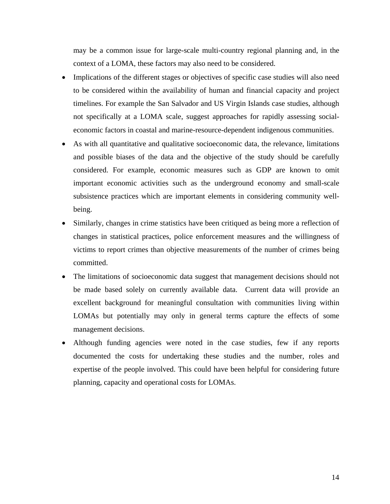may be a common issue for large-scale multi-country regional planning and, in the context of a LOMA, these factors may also need to be considered.

- Implications of the different stages or objectives of specific case studies will also need to be considered within the availability of human and financial capacity and project timelines. For example the San Salvador and US Virgin Islands case studies, although not specifically at a LOMA scale, suggest approaches for rapidly assessing socialeconomic factors in coastal and marine-resource-dependent indigenous communities.
- As with all quantitative and qualitative socioeconomic data, the relevance, limitations and possible biases of the data and the objective of the study should be carefully considered. For example, economic measures such as GDP are known to omit important economic activities such as the underground economy and small-scale subsistence practices which are important elements in considering community wellbeing.
- Similarly, changes in crime statistics have been critiqued as being more a reflection of changes in statistical practices, police enforcement measures and the willingness of victims to report crimes than objective measurements of the number of crimes being committed.
- The limitations of socioeconomic data suggest that management decisions should not be made based solely on currently available data. Current data will provide an excellent background for meaningful consultation with communities living within LOMAs but potentially may only in general terms capture the effects of some management decisions.
- Although funding agencies were noted in the case studies, few if any reports documented the costs for undertaking these studies and the number, roles and expertise of the people involved. This could have been helpful for considering future planning, capacity and operational costs for LOMAs.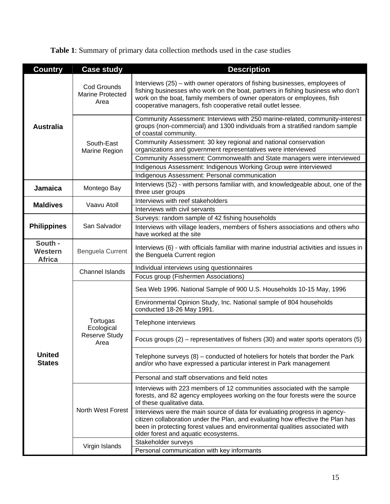**Table 1**: Summary of primary data collection methods used in the case studies

| <b>Country</b>                      | <b>Case study</b>                              | <b>Description</b>                                                                                                                                                                                                                                                                                      |  |  |  |  |  |  |
|-------------------------------------|------------------------------------------------|---------------------------------------------------------------------------------------------------------------------------------------------------------------------------------------------------------------------------------------------------------------------------------------------------------|--|--|--|--|--|--|
|                                     | Cod Grounds<br><b>Marine Protected</b><br>Area | Interviews (25) – with owner operators of fishing businesses, employees of<br>fishing businesses who work on the boat, partners in fishing business who don't<br>work on the boat, family members of owner operators or employees, fish<br>cooperative managers, fish cooperative retail outlet lessee. |  |  |  |  |  |  |
| <b>Australia</b>                    |                                                | Community Assessment: Interviews with 250 marine-related, community-interest<br>groups (non-commercial) and 1300 individuals from a stratified random sample<br>of coastal community.                                                                                                                   |  |  |  |  |  |  |
|                                     | South-East<br>Marine Region                    | Community Assessment: 30 key regional and national conservation<br>organizations and government representatives were interviewed                                                                                                                                                                        |  |  |  |  |  |  |
|                                     |                                                | Community Assessment: Commonwealth and State managers were interviewed                                                                                                                                                                                                                                  |  |  |  |  |  |  |
|                                     |                                                | Indigenous Assessment: Indigenous Working Group were interviewed                                                                                                                                                                                                                                        |  |  |  |  |  |  |
|                                     |                                                | Indigenous Assessment: Personal communication                                                                                                                                                                                                                                                           |  |  |  |  |  |  |
| <b>Jamaica</b>                      | Montego Bay                                    | Interviews (52) - with persons familiar with, and knowledgeable about, one of the<br>three user groups                                                                                                                                                                                                  |  |  |  |  |  |  |
| <b>Maldives</b>                     | Vaavu Atoll                                    | Interviews with reef stakeholders                                                                                                                                                                                                                                                                       |  |  |  |  |  |  |
|                                     |                                                | Interviews with civil servants                                                                                                                                                                                                                                                                          |  |  |  |  |  |  |
|                                     |                                                | Surveys: random sample of 42 fishing households                                                                                                                                                                                                                                                         |  |  |  |  |  |  |
| <b>Philippines</b><br>San Salvador  |                                                | Interviews with village leaders, members of fishers associations and others who<br>have worked at the site                                                                                                                                                                                              |  |  |  |  |  |  |
| South -<br>Western<br><b>Africa</b> | Benguela Current                               | Interviews (6) - with officials familiar with marine industrial activities and issues in<br>the Benguela Current region                                                                                                                                                                                 |  |  |  |  |  |  |
|                                     |                                                | Individual interviews using questionnaires                                                                                                                                                                                                                                                              |  |  |  |  |  |  |
|                                     | <b>Channel Islands</b>                         | Focus group (Fishermen Associations)                                                                                                                                                                                                                                                                    |  |  |  |  |  |  |
|                                     |                                                | Sea Web 1996. National Sample of 900 U.S. Households 10-15 May, 1996                                                                                                                                                                                                                                    |  |  |  |  |  |  |
|                                     |                                                | Environmental Opinion Study, Inc. National sample of 804 households<br>conducted 18-26 May 1991.                                                                                                                                                                                                        |  |  |  |  |  |  |
|                                     | Tortugas<br>Ecological                         | Telephone interviews                                                                                                                                                                                                                                                                                    |  |  |  |  |  |  |
|                                     | <b>Reserve Study</b><br>Area                   | Focus groups $(2)$ – representatives of fishers $(30)$ and water sports operators $(5)$                                                                                                                                                                                                                 |  |  |  |  |  |  |
| <b>United</b><br><b>States</b>      |                                                | Telephone surveys $(8)$ – conducted of hoteliers for hotels that border the Park<br>and/or who have expressed a particular interest in Park management                                                                                                                                                  |  |  |  |  |  |  |
|                                     |                                                | Personal and staff observations and field notes                                                                                                                                                                                                                                                         |  |  |  |  |  |  |
|                                     |                                                | Interviews with 223 members of 12 communities associated with the sample<br>forests, and 82 agency employees working on the four forests were the source<br>of these qualitative data.                                                                                                                  |  |  |  |  |  |  |
|                                     | North West Forest                              | Interviews were the main source of data for evaluating progress in agency-<br>citizen collaboration under the Plan, and evaluating how effective the Plan has<br>been in protecting forest values and environmental qualities associated with<br>older forest and aquatic ecosystems.                   |  |  |  |  |  |  |
|                                     |                                                | Stakeholder surveys                                                                                                                                                                                                                                                                                     |  |  |  |  |  |  |
|                                     | Virgin Islands                                 | Personal communication with key informants                                                                                                                                                                                                                                                              |  |  |  |  |  |  |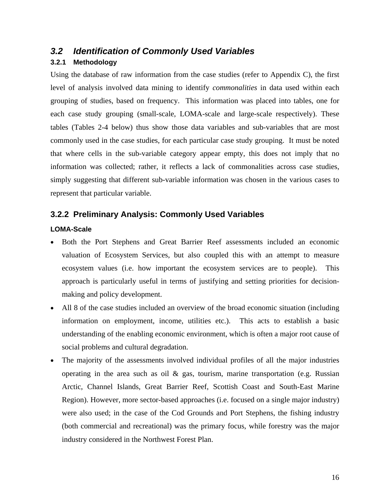#### <span id="page-25-0"></span>*3.2 Identification of Commonly Used Variables*

#### **3.2.1 Methodology**

Using the database of raw information from the case studies (refer to Appendix C), the first level of analysis involved data mining to identify *commonalities* in data used within each grouping of studies, based on frequency. This information was placed into tables, one for each case study grouping (small-scale, LOMA-scale and large-scale respectively). These tables (Tables 2-4 below) thus show those data variables and sub-variables that are most commonly used in the case studies, for each particular case study grouping. It must be noted that where cells in the sub-variable category appear empty, this does not imply that no information was collected; rather, it reflects a lack of commonalities across case studies, simply suggesting that different sub-variable information was chosen in the various cases to represent that particular variable.

#### **3.2.2 Preliminary Analysis: Commonly Used Variables**

#### **LOMA-Scale**

- Both the Port Stephens and Great Barrier Reef assessments included an economic valuation of Ecosystem Services, but also coupled this with an attempt to measure ecosystem values (i.e. how important the ecosystem services are to people). This approach is particularly useful in terms of justifying and setting priorities for decisionmaking and policy development.
- All 8 of the case studies included an overview of the broad economic situation (including information on employment, income, utilities etc.). This acts to establish a basic understanding of the enabling economic environment, which is often a major root cause of social problems and cultural degradation.
- The majority of the assessments involved individual profiles of all the major industries operating in the area such as oil  $\&$  gas, tourism, marine transportation (e.g. Russian Arctic, Channel Islands, Great Barrier Reef, Scottish Coast and South-East Marine Region). However, more sector-based approaches (i.e. focused on a single major industry) were also used; in the case of the Cod Grounds and Port Stephens, the fishing industry (both commercial and recreational) was the primary focus, while forestry was the major industry considered in the Northwest Forest Plan.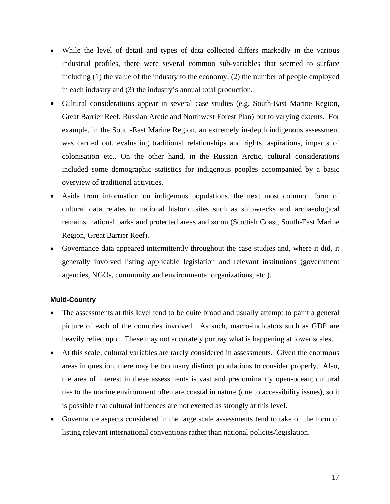- While the level of detail and types of data collected differs markedly in the various industrial profiles, there were several common sub-variables that seemed to surface including (1) the value of the industry to the economy; (2) the number of people employed in each industry and (3) the industry's annual total production.
- Cultural considerations appear in several case studies (e.g. South-East Marine Region, Great Barrier Reef, Russian Arctic and Northwest Forest Plan) but to varying extents. For example, in the South-East Marine Region, an extremely in-depth indigenous assessment was carried out, evaluating traditional relationships and rights, aspirations, impacts of colonisation etc.. On the other hand, in the Russian Arctic, cultural considerations included some demographic statistics for indigenous peoples accompanied by a basic overview of traditional activities.
- Aside from information on indigenous populations, the next most common form of cultural data relates to national historic sites such as shipwrecks and archaeological remains, national parks and protected areas and so on (Scottish Coast, South-East Marine Region, Great Barrier Reef).
- Governance data appeared intermittently throughout the case studies and, where it did, it generally involved listing applicable legislation and relevant institutions (government agencies, NGOs, community and environmental organizations, etc.).

#### **Multi-Country**

- The assessments at this level tend to be quite broad and usually attempt to paint a general picture of each of the countries involved. As such, macro-indicators such as GDP are heavily relied upon. These may not accurately portray what is happening at lower scales.
- At this scale, cultural variables are rarely considered in assessments. Given the enormous areas in question, there may be too many distinct populations to consider properly. Also, the area of interest in these assessments is vast and predominantly open-ocean; cultural ties to the marine environment often are coastal in nature (due to accessibility issues), so it is possible that cultural influences are not exerted as strongly at this level.
- Governance aspects considered in the large scale assessments tend to take on the form of listing relevant international conventions rather than national policies/legislation.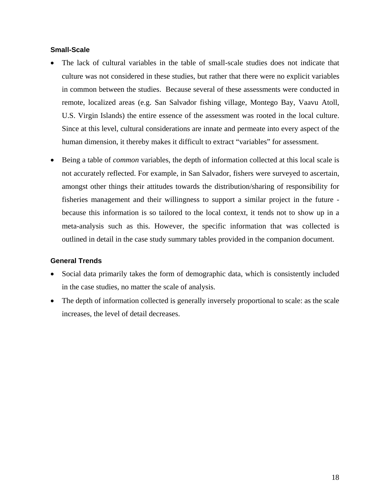#### **Small-Scale**

- The lack of cultural variables in the table of small-scale studies does not indicate that culture was not considered in these studies, but rather that there were no explicit variables in common between the studies. Because several of these assessments were conducted in remote, localized areas (e.g. San Salvador fishing village, Montego Bay, Vaavu Atoll, U.S. Virgin Islands) the entire essence of the assessment was rooted in the local culture. Since at this level, cultural considerations are innate and permeate into every aspect of the human dimension, it thereby makes it difficult to extract "variables" for assessment.
- Being a table of *common* variables, the depth of information collected at this local scale is not accurately reflected. For example, in San Salvador, fishers were surveyed to ascertain, amongst other things their attitudes towards the distribution/sharing of responsibility for fisheries management and their willingness to support a similar project in the future because this information is so tailored to the local context, it tends not to show up in a meta-analysis such as this. However, the specific information that was collected is outlined in detail in the case study summary tables provided in the companion document.

#### **General Trends**

- Social data primarily takes the form of demographic data, which is consistently included in the case studies, no matter the scale of analysis.
- The depth of information collected is generally inversely proportional to scale: as the scale increases, the level of detail decreases.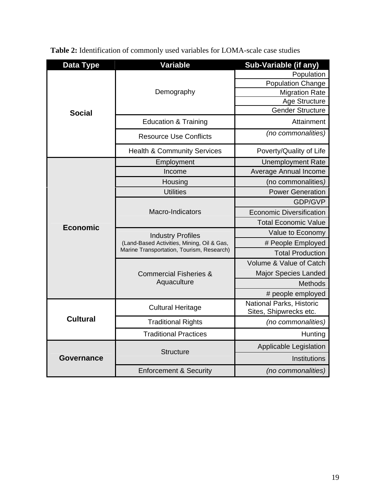| Data Type       | Variable                                   | Sub-Variable (if any)                              |  |  |  |  |  |
|-----------------|--------------------------------------------|----------------------------------------------------|--|--|--|--|--|
|                 |                                            | Population                                         |  |  |  |  |  |
|                 |                                            | <b>Population Change</b>                           |  |  |  |  |  |
|                 | Demography                                 | <b>Migration Rate</b>                              |  |  |  |  |  |
|                 |                                            | Age Structure<br><b>Gender Structure</b>           |  |  |  |  |  |
| <b>Social</b>   |                                            |                                                    |  |  |  |  |  |
|                 | <b>Education &amp; Training</b>            | Attainment                                         |  |  |  |  |  |
|                 | <b>Resource Use Conflicts</b>              | (no commonalities)                                 |  |  |  |  |  |
|                 | <b>Health &amp; Community Services</b>     | Poverty/Quality of Life                            |  |  |  |  |  |
|                 | Employment                                 | <b>Unemployment Rate</b>                           |  |  |  |  |  |
|                 | Income                                     | Average Annual Income                              |  |  |  |  |  |
|                 | Housing                                    | (no commonalities)                                 |  |  |  |  |  |
|                 | <b>Utilities</b>                           | <b>Power Generation</b>                            |  |  |  |  |  |
|                 |                                            | GDP/GVP                                            |  |  |  |  |  |
|                 | Macro-Indicators                           | <b>Economic Diversification</b>                    |  |  |  |  |  |
| <b>Economic</b> |                                            | <b>Total Economic Value</b>                        |  |  |  |  |  |
|                 | <b>Industry Profiles</b>                   | Value to Economy                                   |  |  |  |  |  |
|                 | (Land-Based Activities, Mining, Oil & Gas, | # People Employed                                  |  |  |  |  |  |
|                 | Marine Transportation, Tourism, Research)  | <b>Total Production</b>                            |  |  |  |  |  |
|                 |                                            | Volume & Value of Catch                            |  |  |  |  |  |
|                 | <b>Commercial Fisheries &amp;</b>          | <b>Major Species Landed</b>                        |  |  |  |  |  |
|                 | Aquaculture                                | <b>Methods</b>                                     |  |  |  |  |  |
|                 |                                            | # people employed                                  |  |  |  |  |  |
|                 | <b>Cultural Heritage</b>                   | National Parks, Historic<br>Sites, Shipwrecks etc. |  |  |  |  |  |
| <b>Cultural</b> | <b>Traditional Rights</b>                  | (no commonalities)                                 |  |  |  |  |  |
|                 | <b>Traditional Practices</b>               | Hunting                                            |  |  |  |  |  |
|                 |                                            | Applicable Legislation                             |  |  |  |  |  |
| Governance      | <b>Structure</b>                           | Institutions                                       |  |  |  |  |  |
|                 | <b>Enforcement &amp; Security</b>          | (no commonalities)                                 |  |  |  |  |  |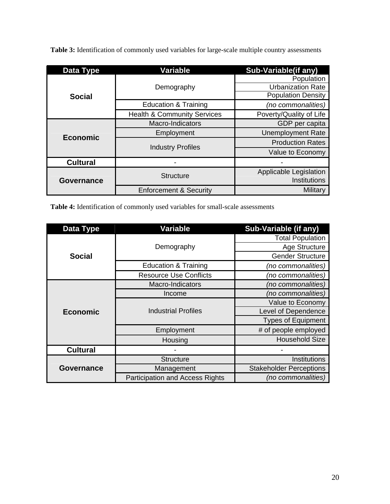**Table 3:** Identification of commonly used variables for large-scale multiple country assessments

| Data Type       | Variable                               | Sub-Variable(if any)                   |  |  |  |  |
|-----------------|----------------------------------------|----------------------------------------|--|--|--|--|
|                 | Demography                             | Population<br><b>Urbanization Rate</b> |  |  |  |  |
| <b>Social</b>   |                                        | <b>Population Density</b>              |  |  |  |  |
|                 | <b>Education &amp; Training</b>        | (no commonalities)                     |  |  |  |  |
|                 | <b>Health &amp; Community Services</b> | Poverty/Quality of Life                |  |  |  |  |
|                 | Macro-Indicators                       | GDP per capita                         |  |  |  |  |
| <b>Economic</b> | Employment                             | <b>Unemployment Rate</b>               |  |  |  |  |
|                 | <b>Industry Profiles</b>               | <b>Production Rates</b>                |  |  |  |  |
|                 |                                        | Value to Economy                       |  |  |  |  |
| <b>Cultural</b> |                                        |                                        |  |  |  |  |
|                 | <b>Structure</b>                       | Applicable Legislation                 |  |  |  |  |
| Governance      |                                        | Institutions                           |  |  |  |  |
|                 | <b>Enforcement &amp; Security</b>      | Military                               |  |  |  |  |

**Table 4:** Identification of commonly used variables for small-scale assessments

| Data Type         | <b>Variable</b>                        | Sub-Variable (if any)          |
|-------------------|----------------------------------------|--------------------------------|
|                   |                                        | <b>Total Population</b>        |
|                   | Demography                             | Age Structure                  |
| <b>Social</b>     |                                        | <b>Gender Structure</b>        |
|                   | <b>Education &amp; Training</b>        | (no commonalities)             |
|                   | <b>Resource Use Conflicts</b>          | (no commonalities)             |
|                   | Macro-Indicators                       | (no commonalities)             |
|                   | Income                                 | (no commonalities)             |
|                   |                                        | Value to Economy               |
| <b>Economic</b>   | <b>Industrial Profiles</b>             | Level of Dependence            |
|                   |                                        | <b>Types of Equipment</b>      |
|                   | Employment                             | # of people employed           |
|                   | Housing                                | <b>Household Size</b>          |
| <b>Cultural</b>   |                                        |                                |
|                   | <b>Structure</b>                       | <b>Institutions</b>            |
| <b>Governance</b> | Management                             | <b>Stakeholder Perceptions</b> |
|                   | <b>Participation and Access Rights</b> | (no commonalities)             |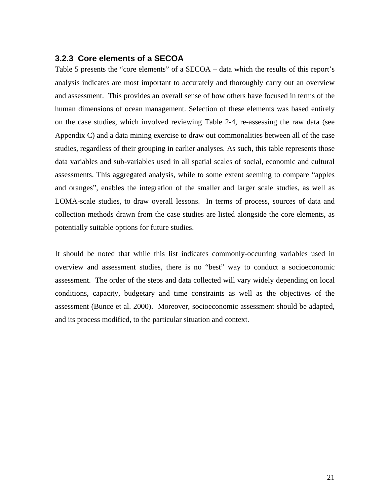#### **3.2.3 Core elements of a SECOA**

Table 5 presents the "core elements" of a SECOA – data which the results of this report's analysis indicates are most important to accurately and thoroughly carry out an overview and assessment. This provides an overall sense of how others have focused in terms of the human dimensions of ocean management. Selection of these elements was based entirely on the case studies, which involved reviewing Table 2-4, re-assessing the raw data (see Appendix C) and a data mining exercise to draw out commonalities between all of the case studies, regardless of their grouping in earlier analyses. As such, this table represents those data variables and sub-variables used in all spatial scales of social, economic and cultural assessments. This aggregated analysis, while to some extent seeming to compare "apples and oranges", enables the integration of the smaller and larger scale studies, as well as LOMA-scale studies, to draw overall lessons. In terms of process, sources of data and collection methods drawn from the case studies are listed alongside the core elements, as potentially suitable options for future studies.

It should be noted that while this list indicates commonly-occurring variables used in overview and assessment studies, there is no "best" way to conduct a socioeconomic assessment. The order of the steps and data collected will vary widely depending on local conditions, capacity, budgetary and time constraints as well as the objectives of the assessment (Bunce et al. 2000). Moreover, socioeconomic assessment should be adapted, and its process modified, to the particular situation and context.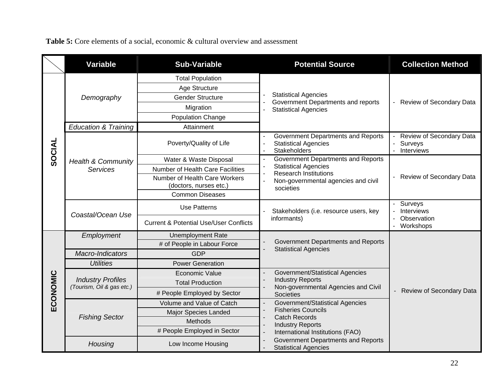|          | <b>Variable</b>                                  | <b>Sub-Variable</b>                                                                                                                             | <b>Potential Source</b>                                                                                                                                                 | <b>Collection Method</b>                                 |  |  |  |
|----------|--------------------------------------------------|-------------------------------------------------------------------------------------------------------------------------------------------------|-------------------------------------------------------------------------------------------------------------------------------------------------------------------------|----------------------------------------------------------|--|--|--|
|          | Demography                                       | <b>Total Population</b><br>Age Structure<br><b>Gender Structure</b><br>Migration<br>Population Change                                           | <b>Statistical Agencies</b><br>Government Departments and reports<br><b>Statistical Agencies</b>                                                                        | Review of Secondary Data                                 |  |  |  |
|          | <b>Education &amp; Training</b>                  | Attainment                                                                                                                                      |                                                                                                                                                                         |                                                          |  |  |  |
| SOCIAL   |                                                  | Poverty/Quality of Life                                                                                                                         | Government Departments and Reports<br><b>Statistical Agencies</b><br>Stakeholders                                                                                       | Review of Secondary Data<br>Surveys<br>Interviews        |  |  |  |
|          | <b>Health &amp; Community</b><br><b>Services</b> | Water & Waste Disposal<br>Number of Health Care Facilities<br>Number of Health Care Workers<br>(doctors, nurses etc.)<br><b>Common Diseases</b> | Government Departments and Reports<br>$\blacksquare$<br><b>Statistical Agencies</b><br><b>Research Institutions</b><br>Non-governmental agencies and civil<br>societies | Review of Secondary Data                                 |  |  |  |
|          | Coastal/Ocean Use                                | <b>Use Patterns</b><br><b>Current &amp; Potential Use/User Conflicts</b>                                                                        | Stakeholders (i.e. resource users, key<br>informants)                                                                                                                   | Surveys<br><b>Interviews</b><br>Observation<br>Workshops |  |  |  |
|          | Employment                                       | <b>Unemployment Rate</b><br># of People in Labour Force                                                                                         | Government Departments and Reports                                                                                                                                      |                                                          |  |  |  |
|          | Macro-Indicators                                 | <b>GDP</b>                                                                                                                                      | <b>Statistical Agencies</b>                                                                                                                                             |                                                          |  |  |  |
|          | <b>Utilities</b>                                 | <b>Power Generation</b>                                                                                                                         |                                                                                                                                                                         |                                                          |  |  |  |
|          | <b>Industry Profiles</b>                         | <b>Economic Value</b><br><b>Total Production</b>                                                                                                | Government/Statistical Agencies<br><b>Industry Reports</b>                                                                                                              |                                                          |  |  |  |
|          | (Tourism, Oil & gas etc.)                        | # People Employed by Sector                                                                                                                     | Non-governmental Agencies and Civil<br><b>Societies</b>                                                                                                                 | - Review of Secondary Data                               |  |  |  |
| ECONOMIC | <b>Fishing Sector</b>                            | Volume and Value of Catch<br>Major Species Landed<br>Methods<br># People Employed in Sector                                                     | Government/Statistical Agencies<br><b>Fisheries Councils</b><br><b>Catch Records</b><br><b>Industry Reports</b><br>International Institutions (FAO)                     |                                                          |  |  |  |
|          | Housing                                          | Low Income Housing                                                                                                                              | Government Departments and Reports<br><b>Statistical Agencies</b>                                                                                                       |                                                          |  |  |  |

**Table 5:** Core elements of a social, economic & cultural overview and assessment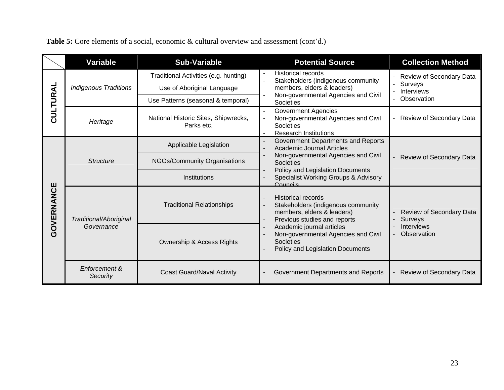|            | <b>Variable</b>                                    | <b>Sub-Variable</b>                                | <b>Potential Source</b>                                                                                                       | <b>Collection Method</b>                   |  |  |  |
|------------|----------------------------------------------------|----------------------------------------------------|-------------------------------------------------------------------------------------------------------------------------------|--------------------------------------------|--|--|--|
|            |                                                    | Traditional Activities (e.g. hunting)              | <b>Historical records</b><br>Stakeholders (indigenous community                                                               | Review of Secondary Data                   |  |  |  |
|            | <b>Indigenous Traditions</b>                       | Use of Aboriginal Language                         | members, elders & leaders)                                                                                                    | Surveys<br><b>Interviews</b>               |  |  |  |
|            |                                                    | Use Patterns (seasonal & temporal)                 | Non-governmental Agencies and Civil<br><b>Societies</b>                                                                       | Observation                                |  |  |  |
| CULTURAL   | Heritage                                           | National Historic Sites, Shipwrecks,<br>Parks etc. | <b>Government Agencies</b><br>Non-governmental Agencies and Civil<br><b>Societies</b><br><b>Research Institutions</b>         | Review of Secondary Data                   |  |  |  |
|            |                                                    | Applicable Legislation                             | Government Departments and Reports<br>Academic Journal Articles                                                               |                                            |  |  |  |
|            | <b>Structure</b>                                   | NGOs/Community Organisations                       | Non-governmental Agencies and Civil<br><b>Societies</b>                                                                       | <b>Review of Secondary Data</b>            |  |  |  |
|            |                                                    | Institutions                                       | Policy and Legislation Documents<br>Specialist Working Groups & Advisory<br>Councile                                          |                                            |  |  |  |
| GOVERNANCE | Traditional/Aboriginal                             | <b>Traditional Relationships</b>                   | <b>Historical records</b><br>Stakeholders (indigenous community<br>members, elders & leaders)<br>Previous studies and reports | Review of Secondary Data<br><b>Surveys</b> |  |  |  |
|            | Governance<br><b>Ownership &amp; Access Rights</b> |                                                    | Academic journal articles<br>Non-governmental Agencies and Civil<br><b>Societies</b><br>Policy and Legislation Documents      | <b>Interviews</b><br>Observation           |  |  |  |
|            | Enforcement &<br>Security                          | <b>Coast Guard/Naval Activity</b>                  | Government Departments and Reports                                                                                            | Review of Secondary Data                   |  |  |  |

**Table 5:** Core elements of a social, economic & cultural overview and assessment (cont'd.)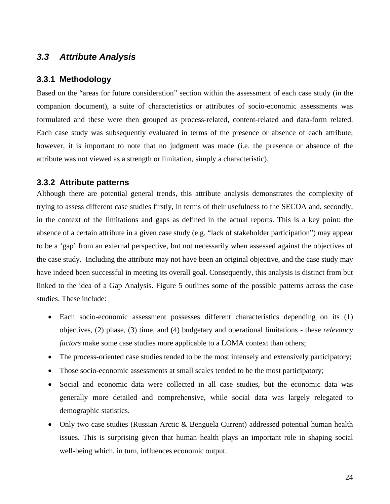#### <span id="page-33-0"></span>*3.3 Attribute Analysis*

#### **3.3.1 Methodology**

Based on the "areas for future consideration" section within the assessment of each case study (in the companion document), a suite of characteristics or attributes of socio-economic assessments was formulated and these were then grouped as process-related, content-related and data-form related. Each case study was subsequently evaluated in terms of the presence or absence of each attribute; however, it is important to note that no judgment was made (i.e. the presence or absence of the attribute was not viewed as a strength or limitation, simply a characteristic).

#### **3.3.2 Attribute patterns**

Although there are potential general trends, this attribute analysis demonstrates the complexity of trying to assess different case studies firstly, in terms of their usefulness to the SECOA and, secondly, in the context of the limitations and gaps as defined in the actual reports. This is a key point: the absence of a certain attribute in a given case study (e.g. "lack of stakeholder participation") may appear to be a 'gap' from an external perspective, but not necessarily when assessed against the objectives of the case study. Including the attribute may not have been an original objective, and the case study may have indeed been successful in meeting its overall goal. Consequently, this analysis is distinct from but linked to the idea of a Gap Analysis. Figure 5 outlines some of the possible patterns across the case studies. These include:

- Each socio-economic assessment possesses different characteristics depending on its (1) objectives, (2) phase, (3) time, and (4) budgetary and operational limitations - these *relevancy factors* make some case studies more applicable to a LOMA context than others;
- The process-oriented case studies tended to be the most intensely and extensively participatory;
- Those socio-economic assessments at small scales tended to be the most participatory;
- Social and economic data were collected in all case studies, but the economic data was generally more detailed and comprehensive, while social data was largely relegated to demographic statistics.
- Only two case studies (Russian Arctic & Benguela Current) addressed potential human health issues. This is surprising given that human health plays an important role in shaping social well-being which, in turn, influences economic output.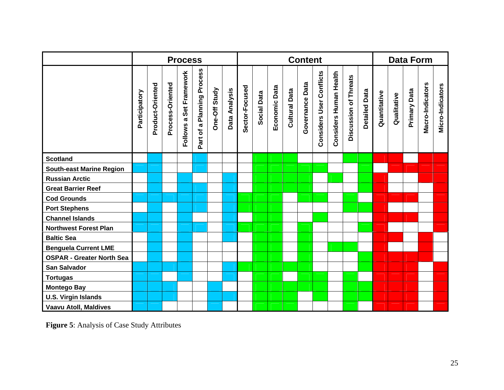|                                  | <b>Process</b> |                  |                  |                         |                            |               | <b>Content</b> |                |             |               |                      |                        |                          |                        | <b>Data Form</b>      |                      |              |             |              |                  |                  |
|----------------------------------|----------------|------------------|------------------|-------------------------|----------------------------|---------------|----------------|----------------|-------------|---------------|----------------------|------------------------|--------------------------|------------------------|-----------------------|----------------------|--------------|-------------|--------------|------------------|------------------|
|                                  | Participatory  | Product-Oriented | Process-Oriented | Follows a Set Framework | Part of a Planning Process | One-Off Study | Data Analysis  | Sector-Focused | Social Data | Economic Data | <b>Cultural Data</b> | <b>Governance Data</b> | Considers User Conflicts | Considers Human Health | Discussion of Threats | <b>Detailed Data</b> | Quantitative | Qualitative | Primary Data | Macro-Indicators | Micro-Indicators |
| <b>Scotland</b>                  |                |                  |                  |                         |                            |               |                |                |             |               |                      |                        |                          |                        |                       |                      |              |             |              |                  |                  |
| <b>South-east Marine Region</b>  |                |                  |                  |                         |                            |               |                |                |             |               |                      |                        |                          |                        |                       |                      |              |             |              |                  |                  |
| <b>Russian Arctic</b>            |                |                  |                  |                         |                            |               |                |                |             |               |                      |                        |                          |                        |                       |                      |              |             |              |                  |                  |
| <b>Great Barrier Reef</b>        |                |                  |                  |                         |                            |               |                |                |             |               |                      |                        |                          |                        |                       |                      |              |             |              |                  |                  |
| <b>Cod Grounds</b>               |                |                  |                  |                         |                            |               |                |                |             |               |                      |                        |                          |                        |                       |                      |              |             |              |                  |                  |
| <b>Port Stephens</b>             |                |                  |                  |                         |                            |               |                |                |             |               |                      |                        |                          |                        |                       |                      |              |             |              |                  |                  |
| <b>Channel Islands</b>           |                |                  |                  |                         |                            |               |                |                |             |               |                      |                        |                          |                        |                       |                      |              |             |              |                  |                  |
| <b>Northwest Forest Plan</b>     |                |                  |                  |                         |                            |               |                |                |             |               |                      |                        |                          |                        |                       |                      |              |             |              |                  |                  |
| <b>Baltic Sea</b>                |                |                  |                  |                         |                            |               |                |                |             |               |                      |                        |                          |                        |                       |                      |              |             |              |                  |                  |
| <b>Benguela Current LME</b>      |                |                  |                  |                         |                            |               |                |                |             |               |                      |                        |                          |                        |                       |                      |              |             |              |                  |                  |
| <b>OSPAR - Greater North Sea</b> |                |                  |                  |                         |                            |               |                |                |             |               |                      |                        |                          |                        |                       |                      |              |             |              |                  |                  |
| San Salvador                     |                |                  |                  |                         |                            |               |                |                |             |               |                      |                        |                          |                        |                       |                      |              |             |              |                  |                  |
| <b>Tortugas</b>                  |                |                  |                  |                         |                            |               |                |                |             |               |                      |                        |                          |                        |                       |                      |              |             |              |                  |                  |
| <b>Montego Bay</b>               |                |                  |                  |                         |                            |               |                |                |             |               |                      |                        |                          |                        |                       |                      |              |             |              |                  |                  |
| <b>U.S. Virgin Islands</b>       |                |                  |                  |                         |                            |               |                |                |             |               |                      |                        |                          |                        |                       |                      |              |             |              |                  |                  |
| <b>Vaavu Atoll, Maldives</b>     |                |                  |                  |                         |                            |               |                |                |             |               |                      |                        |                          |                        |                       |                      |              |             |              |                  |                  |

**Figure 5**: Analysis of Case Study Attributes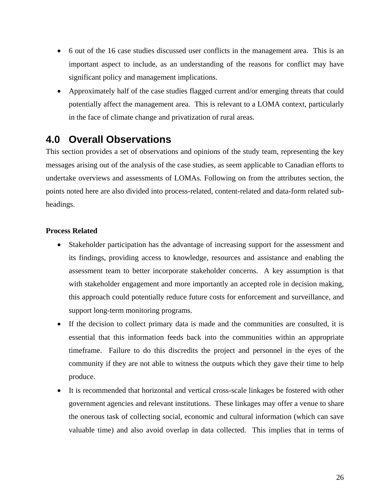- <span id="page-35-0"></span>• 6 out of the 16 case studies discussed user conflicts in the management area. This is an important aspect to include, as an understanding of the reasons for conflict may have significant policy and management implications.
- Approximately half of the case studies flagged current and/or emerging threats that could potentially affect the management area. This is relevant to a LOMA context, particularly in the face of climate change and privatization of rural areas.

### **4.0 Overall Observations**

This section provides a set of observations and opinions of the study team, representing the key messages arising out of the analysis of the case studies, as seem applicable to Canadian efforts to undertake overviews and assessments of LOMAs. Following on from the attributes section, the points noted here are also divided into process-related, content-related and data-form related subheadings.

#### **Process Related**

- Stakeholder participation has the advantage of increasing support for the assessment and its findings, providing access to knowledge, resources and assistance and enabling the assessment team to better incorporate stakeholder concerns. A key assumption is that with stakeholder engagement and more importantly an accepted role in decision making, this approach could potentially reduce future costs for enforcement and surveillance, and support long-term monitoring programs.
- If the decision to collect primary data is made and the communities are consulted, it is essential that this information feeds back into the communities within an appropriate timeframe. Failure to do this discredits the project and personnel in the eyes of the community if they are not able to witness the outputs which they gave their time to help produce.
- It is recommended that horizontal and vertical cross-scale linkages be fostered with other government agencies and relevant institutions. These linkages may offer a venue to share the onerous task of collecting social, economic and cultural information (which can save valuable time) and also avoid overlap in data collected. This implies that in terms of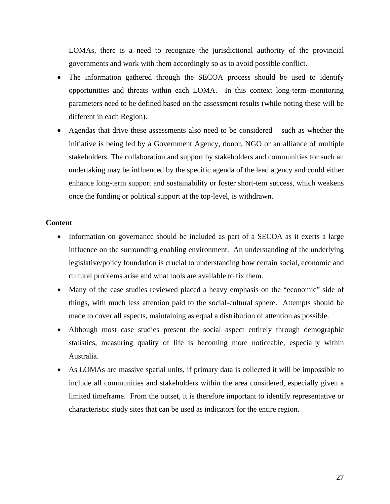LOMAs, there is a need to recognize the jurisdictional authority of the provincial governments and work with them accordingly so as to avoid possible conflict.

- The information gathered through the SECOA process should be used to identify opportunities and threats within each LOMA. In this context long-term monitoring parameters need to be defined based on the assessment results (while noting these will be different in each Region).
- Agendas that drive these assessments also need to be considered such as whether the initiative is being led by a Government Agency, donor, NGO or an alliance of multiple stakeholders. The collaboration and support by stakeholders and communities for such an undertaking may be influenced by the specific agenda of the lead agency and could either enhance long-term support and sustainability or foster short-tem success, which weakens once the funding or political support at the top-level, is withdrawn.

#### **Content**

- Information on governance should be included as part of a SECOA as it exerts a large influence on the surrounding enabling environment. An understanding of the underlying legislative/policy foundation is crucial to understanding how certain social, economic and cultural problems arise and what tools are available to fix them.
- Many of the case studies reviewed placed a heavy emphasis on the "economic" side of things, with much less attention paid to the social-cultural sphere. Attempts should be made to cover all aspects, maintaining as equal a distribution of attention as possible.
- Although most case studies present the social aspect entirely through demographic statistics, measuring quality of life is becoming more noticeable, especially within Australia.
- As LOMAs are massive spatial units, if primary data is collected it will be impossible to include all communities and stakeholders within the area considered, especially given a limited timeframe. From the outset, it is therefore important to identify representative or characteristic study sites that can be used as indicators for the entire region.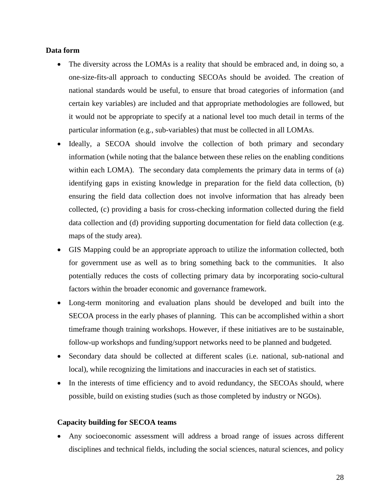#### **Data form**

- The diversity across the LOMAs is a reality that should be embraced and, in doing so, a one-size-fits-all approach to conducting SECOAs should be avoided. The creation of national standards would be useful, to ensure that broad categories of information (and certain key variables) are included and that appropriate methodologies are followed, but it would not be appropriate to specify at a national level too much detail in terms of the particular information (e.g., sub-variables) that must be collected in all LOMAs.
- Ideally, a SECOA should involve the collection of both primary and secondary information (while noting that the balance between these relies on the enabling conditions within each LOMA). The secondary data complements the primary data in terms of (a) identifying gaps in existing knowledge in preparation for the field data collection, (b) ensuring the field data collection does not involve information that has already been collected, (c) providing a basis for cross-checking information collected during the field data collection and (d) providing supporting documentation for field data collection (e.g. maps of the study area).
- GIS Mapping could be an appropriate approach to utilize the information collected, both for government use as well as to bring something back to the communities. It also potentially reduces the costs of collecting primary data by incorporating socio-cultural factors within the broader economic and governance framework.
- Long-term monitoring and evaluation plans should be developed and built into the SECOA process in the early phases of planning. This can be accomplished within a short timeframe though training workshops. However, if these initiatives are to be sustainable, follow-up workshops and funding/support networks need to be planned and budgeted.
- Secondary data should be collected at different scales (i.e. national, sub-national and local), while recognizing the limitations and inaccuracies in each set of statistics.
- In the interests of time efficiency and to avoid redundancy, the SECOAs should, where possible, build on existing studies (such as those completed by industry or NGOs).

#### **Capacity building for SECOA teams**

• Any socioeconomic assessment will address a broad range of issues across different disciplines and technical fields, including the social sciences, natural sciences, and policy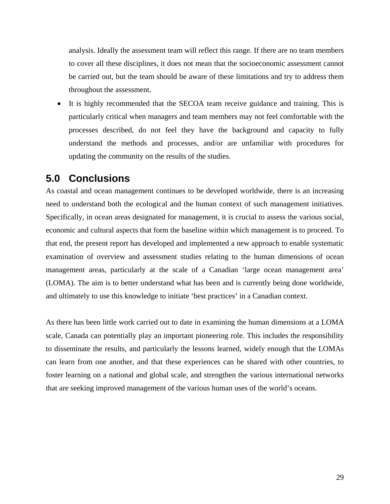<span id="page-38-0"></span>analysis. Ideally the assessment team will reflect this range. If there are no team members to cover all these disciplines, it does not mean that the socioeconomic assessment cannot be carried out, but the team should be aware of these limitations and try to address them throughout the assessment.

• It is highly recommended that the SECOA team receive guidance and training. This is particularly critical when managers and team members may not feel comfortable with the processes described, do not feel they have the background and capacity to fully understand the methods and processes, and/or are unfamiliar with procedures for updating the community on the results of the studies.

### **5.0 Conclusions**

As coastal and ocean management continues to be developed worldwide, there is an increasing need to understand both the ecological and the human context of such management initiatives. Specifically, in ocean areas designated for management, it is crucial to assess the various social, economic and cultural aspects that form the baseline within which management is to proceed. To that end, the present report has developed and implemented a new approach to enable systematic examination of overview and assessment studies relating to the human dimensions of ocean management areas, particularly at the scale of a Canadian 'large ocean management area' (LOMA). The aim is to better understand what has been and is currently being done worldwide, and ultimately to use this knowledge to initiate 'best practices' in a Canadian context.

As there has been little work carried out to date in examining the human dimensions at a LOMA scale, Canada can potentially play an important pioneering role. This includes the responsibility to disseminate the results, and particularly the lessons learned, widely enough that the LOMAs can learn from one another, and that these experiences can be shared with other countries, to foster learning on a national and global scale, and strengthen the various international networks that are seeking improved management of the various human uses of the world's oceans.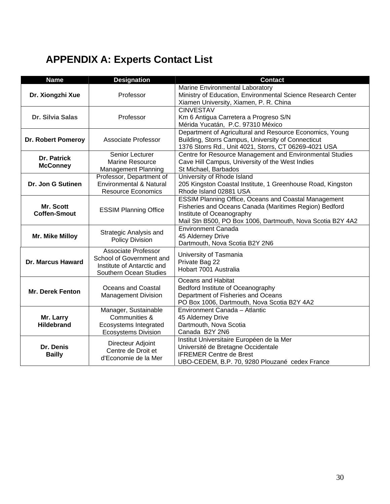# <span id="page-39-0"></span>**APPENDIX A: Experts Contact List**

| <b>Name</b>                           | <b>Designation</b>                                                                                      | <b>Contact</b>                                                                                                                                                                                                   |
|---------------------------------------|---------------------------------------------------------------------------------------------------------|------------------------------------------------------------------------------------------------------------------------------------------------------------------------------------------------------------------|
| Dr. Xiongzhi Xue                      | Professor                                                                                               | Marine Environmental Laboratory<br>Ministry of Education, Environmental Science Research Center<br>Xiamen University, Xiamen, P. R. China                                                                        |
| <b>Dr. Silvia Salas</b>               | Professor                                                                                               | <b>CINVESTAV</b><br>Km 6 Antigua Carretera a Progreso S/N<br>Mérida Yucatán, P.C. 97310 México                                                                                                                   |
| Dr. Robert Pomeroy                    | Associate Professor                                                                                     | Department of Agricultural and Resource Economics, Young<br>Building, Storrs Campus, University of Connecticut<br>1376 Storrs Rd., Unit 4021, Storrs, CT 06269-4021 USA                                          |
| <b>Dr. Patrick</b><br><b>McConney</b> | Senior Lecturer<br>Marine Resource<br><b>Management Planning</b>                                        | Centre for Resource Management and Environmental Studies<br>Cave Hill Campus, University of the West Indies<br>St Michael, Barbados                                                                              |
| Dr. Jon G Sutinen                     | Professor, Department of<br><b>Environmental &amp; Natural</b><br><b>Resource Economics</b>             | University of Rhode Island<br>205 Kingston Coastal Institute, 1 Greenhouse Road, Kingston<br>Rhode Island 02881 USA                                                                                              |
| Mr. Scott<br><b>Coffen-Smout</b>      | <b>ESSIM Planning Office</b>                                                                            | <b>ESSIM Planning Office, Oceans and Coastal Management</b><br>Fisheries and Oceans Canada (Maritimes Region) Bedford<br>Institute of Oceanography<br>Mail Stn B500, PO Box 1006, Dartmouth, Nova Scotia B2Y 4A2 |
| Mr. Mike Milloy                       | Strategic Analysis and<br><b>Policy Division</b>                                                        | <b>Environment Canada</b><br>45 Alderney Drive<br>Dartmouth, Nova Scotia B2Y 2N6                                                                                                                                 |
| <b>Dr. Marcus Haward</b>              | Associate Professor<br>School of Government and<br>Institute of Antarctic and<br>Southern Ocean Studies | University of Tasmania<br>Private Bag 22<br>Hobart 7001 Australia                                                                                                                                                |
| <b>Mr. Derek Fenton</b>               | Oceans and Coastal<br><b>Management Division</b>                                                        | Oceans and Habitat<br>Bedford Institute of Oceanography<br>Department of Fisheries and Oceans<br>PO Box 1006, Dartmouth, Nova Scotia B2Y 4A2                                                                     |
| Mr. Larry<br><b>Hildebrand</b>        | Manager, Sustainable<br>Communities &<br>Ecosystems Integrated<br><b>Ecosystems Division</b>            | Environment Canada - Atlantic<br>45 Alderney Drive<br>Dartmouth, Nova Scotia<br>Canada B2Y 2N6                                                                                                                   |
| Dr. Denis<br><b>Bailly</b>            | Directeur Adjoint<br>Centre de Droit et<br>d'Economie de la Mer                                         | Institut Universitaire Européen de la Mer<br>Université de Bretagne Occidentale<br><b>IFREMER Centre de Brest</b><br>UBO-CEDEM, B.P. 70, 9280 Plouzané cedex France                                              |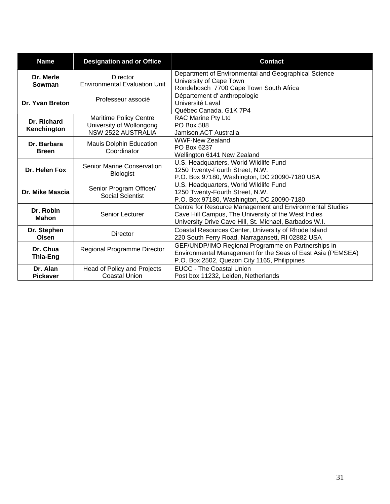| <b>Name</b>                 | <b>Designation and or Office</b>                                                       | <b>Contact</b>                                                                                                                                                            |
|-----------------------------|----------------------------------------------------------------------------------------|---------------------------------------------------------------------------------------------------------------------------------------------------------------------------|
| Dr. Merle<br>Sowman         | Director<br><b>Environmental Evaluation Unit</b>                                       | Department of Environmental and Geographical Science<br>University of Cape Town<br>Rondebosch 7700 Cape Town South Africa                                                 |
| Dr. Yvan Breton             | Professeur associé                                                                     | Département d'anthropologie<br>Université Laval<br>Québec Canada, G1K 7P4                                                                                                 |
| Dr. Richard<br>Kenchington  | <b>Maritime Policy Centre</b><br>University of Wollongong<br><b>NSW 2522 AUSTRALIA</b> | <b>RAC Marine Pty Ltd</b><br><b>PO Box 588</b><br>Jamison, ACT Australia                                                                                                  |
| Dr. Barbara<br><b>Breen</b> | Mauis Dolphin Education<br>Coordinator                                                 | <b>WWF-New Zealand</b><br>PO Box 6237<br>Wellington 6141 New Zealand                                                                                                      |
| Dr. Helen Fox               | <b>Senior Marine Conservation</b><br><b>Biologist</b>                                  | U.S. Headquarters, World Wildlife Fund<br>1250 Twenty-Fourth Street, N.W.<br>P.O. Box 97180, Washington, DC 20090-7180 USA                                                |
| Dr. Mike Mascia             | Senior Program Officer/<br><b>Social Scientist</b>                                     | U.S. Headquarters, World Wildlife Fund<br>1250 Twenty-Fourth Street, N.W.<br>P.O. Box 97180, Washington, DC 20090-7180                                                    |
| Dr. Robin<br><b>Mahon</b>   | Senior Lecturer                                                                        | Centre for Resource Management and Environmental Studies<br>Cave Hill Campus, The University of the West Indies<br>University Drive Cave Hill, St. Michael, Barbados W.I. |
| Dr. Stephen<br>Olsen        | <b>Director</b>                                                                        | Coastal Resources Center, University of Rhode Island<br>220 South Ferry Road, Narragansett, RI 02882 USA                                                                  |
| Dr. Chua<br>Thia-Eng        | Regional Programme Director                                                            | GEF/UNDP/IMO Regional Programme on Partnerships in<br>Environmental Management for the Seas of East Asia (PEMSEA)<br>P.O. Box 2502, Quezon City 1165, Philippines         |
| Dr. Alan<br><b>Pickaver</b> | Head of Policy and Projects<br>Coastal Union                                           | <b>EUCC - The Coastal Union</b><br>Post box 11232, Leiden, Netherlands                                                                                                    |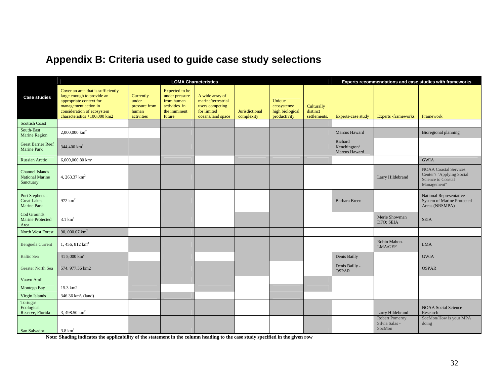## **Appendix B: Criteria used to guide case study selections**

|                                                               |                                                                                                                                                                                     |                                                            |                                                                                           | <b>LOMA Characteristics</b>                                                                  |                              |                                                          |                                        | Experts recommendations and case studies with frameworks |                                                   |                                                                                                |  |  |  |
|---------------------------------------------------------------|-------------------------------------------------------------------------------------------------------------------------------------------------------------------------------------|------------------------------------------------------------|-------------------------------------------------------------------------------------------|----------------------------------------------------------------------------------------------|------------------------------|----------------------------------------------------------|----------------------------------------|----------------------------------------------------------|---------------------------------------------------|------------------------------------------------------------------------------------------------|--|--|--|
| <b>Case studies</b>                                           | Cover an area that is sufficiently<br>large enough to provide an<br>appropriate context for<br>management action in<br>consideration of ecosystem<br>characteristics $+100,000$ km2 | Currently<br>under<br>pressure from<br>human<br>activities | Expected to be<br>under pressure<br>from human<br>activities in<br>the imminent<br>future | A wide array of<br>marine/terrestrial<br>users competing<br>for limited<br>oceans/land space | Jurisdictional<br>complexity | Unique<br>ecosystems/<br>high biological<br>productivity | Culturally<br>distinct<br>settlements. | Experts-case study                                       | <b>Experts</b> - frameworks                       | Framework                                                                                      |  |  |  |
| <b>Scottish Coast</b>                                         |                                                                                                                                                                                     |                                                            |                                                                                           |                                                                                              |                              |                                                          |                                        |                                                          |                                                   |                                                                                                |  |  |  |
| South-East<br>Marine Region                                   | 2,000,000 $km^2$                                                                                                                                                                    |                                                            |                                                                                           |                                                                                              |                              |                                                          |                                        | Marcus Haward                                            |                                                   | Bioregional planning                                                                           |  |  |  |
| <b>Great Barrier Reef</b><br>Marine Park                      | 344,400 $km^2$                                                                                                                                                                      |                                                            |                                                                                           |                                                                                              |                              |                                                          |                                        | Richard<br>Kenchington/<br>Marcus Haward                 |                                                   |                                                                                                |  |  |  |
| <b>Russian Arctic</b>                                         | 6,000,000.80 $km^2$                                                                                                                                                                 |                                                            |                                                                                           |                                                                                              |                              |                                                          |                                        |                                                          |                                                   | <b>GWIA</b>                                                                                    |  |  |  |
| <b>Channel Islands</b><br><b>National Marine</b><br>Sanctuary | 4, 263.37 $km^2$                                                                                                                                                                    |                                                            |                                                                                           |                                                                                              |                              |                                                          |                                        |                                                          | Larry Hildebrand                                  | <b>NOAA Coastal Services</b><br>Center's "Applying Social<br>Science to Coastal<br>Management" |  |  |  |
| Port Stephens -<br><b>Great Lakes</b><br><b>Marine Park</b>   | $972 \text{ km}^2$                                                                                                                                                                  |                                                            |                                                                                           |                                                                                              |                              |                                                          |                                        | Barbara Breen                                            |                                                   | National Representative<br>System of Marine Protected<br>Areas (NRSMPA)                        |  |  |  |
| Cod Grounds<br><b>Marine Protected</b><br>Area                | $3.1 \text{ km}^2$                                                                                                                                                                  |                                                            |                                                                                           |                                                                                              |                              |                                                          |                                        |                                                          | Merle Showman<br><b>DFO: SEIA</b>                 | <b>SEIA</b>                                                                                    |  |  |  |
| North West Forest                                             | 90, 000.07 $km^2$                                                                                                                                                                   |                                                            |                                                                                           |                                                                                              |                              |                                                          |                                        |                                                          |                                                   |                                                                                                |  |  |  |
| Benguela Current                                              | 1, 456, 812 $\text{km}^2$                                                                                                                                                           |                                                            |                                                                                           |                                                                                              |                              |                                                          |                                        |                                                          | Robin Mahon-<br>LMA/GEF                           | <b>LMA</b>                                                                                     |  |  |  |
| <b>Baltic Sea</b>                                             | 41 5,000 km <sup>2</sup>                                                                                                                                                            |                                                            |                                                                                           |                                                                                              |                              |                                                          |                                        | Denis Bailly                                             |                                                   | <b>GWIA</b>                                                                                    |  |  |  |
| <b>Greater North Sea</b>                                      | 574, 977.36 km2                                                                                                                                                                     |                                                            |                                                                                           |                                                                                              |                              |                                                          |                                        | Denis Bailly -<br><b>OSPAR</b>                           |                                                   | <b>OSPAR</b>                                                                                   |  |  |  |
| Vaavu Atoll                                                   |                                                                                                                                                                                     |                                                            |                                                                                           |                                                                                              |                              |                                                          |                                        |                                                          |                                                   |                                                                                                |  |  |  |
| Montego Bay                                                   | 15.3 km2                                                                                                                                                                            |                                                            |                                                                                           |                                                                                              |                              |                                                          |                                        |                                                          |                                                   |                                                                                                |  |  |  |
| Virgin Islands                                                | 346.36 km <sup>2</sup> . (land)                                                                                                                                                     |                                                            |                                                                                           |                                                                                              |                              |                                                          |                                        |                                                          |                                                   |                                                                                                |  |  |  |
| Tortugas<br>Ecological<br>Reserve, Florida                    | 3, 498.50 $km^2$                                                                                                                                                                    |                                                            |                                                                                           |                                                                                              |                              |                                                          |                                        |                                                          | Larry Hildebrand                                  | <b>NOAA Social Science</b><br>Research                                                         |  |  |  |
| San Salvador                                                  | $3.8 \text{ km}^2$                                                                                                                                                                  |                                                            |                                                                                           |                                                                                              |                              |                                                          |                                        |                                                          | <b>Robert Pomeroy</b><br>Silvia Salas -<br>SocMon | SocMon/How is your MPA<br>doing                                                                |  |  |  |

<span id="page-41-0"></span>**Note: Shading indicates the applicability of the statement in the column heading to the case study specified in the given row**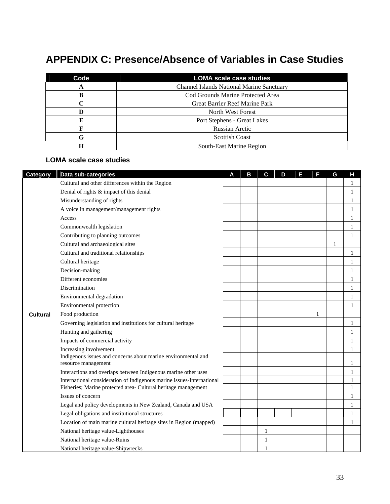## <span id="page-42-0"></span>**APPENDIX C: Presence/Absence of Variables in Case Studies**

| Code | <b>LOMA scale case studies</b>                   |
|------|--------------------------------------------------|
| A    | <b>Channel Islands National Marine Sanctuary</b> |
| в    | Cod Grounds Marine Protected Area                |
|      | <b>Great Barrier Reef Marine Park</b>            |
| D    | North West Forest                                |
| E    | Port Stephens - Great Lakes                      |
|      | <b>Russian Arctic</b>                            |
| G    | <b>Scottish Coast</b>                            |
| н    | South-East Marine Region                         |

#### **LOMA scale case studies**

| Category        | Data sub-categories                                                                                                                     | A | B | C | D | Е | F | G            | н                            |
|-----------------|-----------------------------------------------------------------------------------------------------------------------------------------|---|---|---|---|---|---|--------------|------------------------------|
|                 | Cultural and other differences within the Region                                                                                        |   |   |   |   |   |   |              | $\mathbf{1}$                 |
|                 | Denial of rights & impact of this denial                                                                                                |   |   |   |   |   |   |              | $\mathbf{1}$                 |
|                 | Misunderstanding of rights                                                                                                              |   |   |   |   |   |   |              | $\mathbf{1}$                 |
|                 | A voice in management/management rights                                                                                                 |   |   |   |   |   |   |              | $\mathbf{1}$                 |
|                 | Access                                                                                                                                  |   |   |   |   |   |   |              | $\mathbf{1}$                 |
|                 | Commonwealth legislation                                                                                                                |   |   |   |   |   |   |              | $\mathbf{1}$                 |
|                 | Contributing to planning outcomes                                                                                                       |   |   |   |   |   |   |              | $\mathbf{1}$                 |
|                 | Cultural and archaeological sites                                                                                                       |   |   |   |   |   |   | $\mathbf{1}$ |                              |
|                 | Cultural and traditional relationships                                                                                                  |   |   |   |   |   |   |              | $\mathbf{1}$                 |
|                 | Cultural heritage                                                                                                                       |   |   |   |   |   |   |              | $\mathbf{1}$                 |
|                 | Decision-making                                                                                                                         |   |   |   |   |   |   |              | $\mathbf{1}$                 |
|                 | Different economies                                                                                                                     |   |   |   |   |   |   |              | $\mathbf{1}$                 |
|                 | Discrimination                                                                                                                          |   |   |   |   |   |   |              | $\mathbf{1}$                 |
|                 | Environmental degradation                                                                                                               |   |   |   |   |   |   |              | $\mathbf{1}$                 |
|                 | Environmental protection                                                                                                                |   |   |   |   |   |   |              | $\mathbf{1}$                 |
| <b>Cultural</b> | Food production                                                                                                                         |   |   |   |   |   | 1 |              |                              |
|                 | Governing legislation and institutions for cultural heritage                                                                            |   |   |   |   |   |   |              | $\mathbf{1}$                 |
|                 | Hunting and gathering                                                                                                                   |   |   |   |   |   |   |              | $\mathbf{1}$                 |
|                 | Impacts of commercial activity                                                                                                          |   |   |   |   |   |   |              | $\mathbf{1}$                 |
|                 | Increasing involvement                                                                                                                  |   |   |   |   |   |   |              | $\mathbf{1}$                 |
|                 | Indigenous issues and concerns about marine environmental and<br>resource management                                                    |   |   |   |   |   |   |              | $\mathbf{1}$                 |
|                 |                                                                                                                                         |   |   |   |   |   |   |              |                              |
|                 | Interactions and overlaps between Indigenous marine other uses<br>International consideration of Indigenous marine issues-International |   |   |   |   |   |   |              | $\mathbf{1}$<br>$\mathbf{1}$ |
|                 | Fisheries; Marine protected area- Cultural heritage management                                                                          |   |   |   |   |   |   |              | $\mathbf{1}$                 |
|                 | Issues of concern                                                                                                                       |   |   |   |   |   |   |              | $\mathbf{1}$                 |
|                 | Legal and policy developments in New Zealand, Canada and USA                                                                            |   |   |   |   |   |   |              | $\mathbf{1}$                 |
|                 | Legal obligations and institutional structures                                                                                          |   |   |   |   |   |   |              | $\mathbf{1}$                 |
|                 | Location of main marine cultural heritage sites in Region (mapped)                                                                      |   |   |   |   |   |   |              | $\mathbf{1}$                 |
|                 | National heritage value-Lighthouses                                                                                                     |   |   | 1 |   |   |   |              |                              |
|                 | National heritage value-Ruins                                                                                                           |   |   | 1 |   |   |   |              |                              |
|                 | National heritage value-Shipwrecks                                                                                                      |   |   | 1 |   |   |   |              |                              |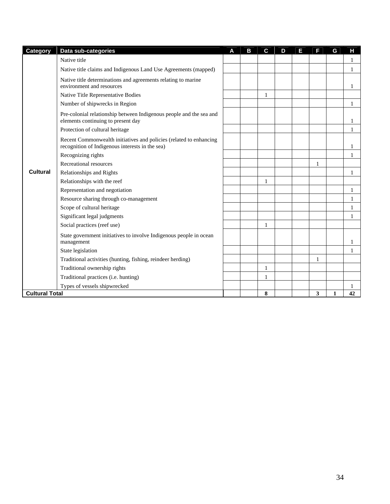| Category              | Data sub-categories                                                                                                   | A | B | C | D | Е | F | G | н  |
|-----------------------|-----------------------------------------------------------------------------------------------------------------------|---|---|---|---|---|---|---|----|
|                       | Native title                                                                                                          |   |   |   |   |   |   |   | 1  |
|                       | Native title claims and Indigenous Land Use Agreements (mapped)                                                       |   |   |   |   |   |   |   | 1  |
|                       | Native title determinations and agreements relating to marine<br>environment and resources                            |   |   |   |   |   |   |   |    |
|                       | Native Title Representative Bodies                                                                                    |   |   | 1 |   |   |   |   |    |
|                       | Number of shipwrecks in Region                                                                                        |   |   |   |   |   |   |   | 1  |
|                       | Pre-colonial relationship between Indigenous people and the sea and<br>elements continuing to present day             |   |   |   |   |   |   |   |    |
|                       | Protection of cultural heritage                                                                                       |   |   |   |   |   |   |   | 1  |
|                       | Recent Commonwealth initiatives and policies (related to enhancing<br>recognition of Indigenous interests in the sea) |   |   |   |   |   |   |   | 1  |
|                       | Recognizing rights                                                                                                    |   |   |   |   |   |   |   | 1  |
|                       | Recreational resources                                                                                                |   |   |   |   |   | 1 |   |    |
| <b>Cultural</b>       | Relationships and Rights                                                                                              |   |   |   |   |   |   |   | 1  |
|                       | Relationships with the reef                                                                                           |   |   |   |   |   |   |   |    |
|                       | Representation and negotiation                                                                                        |   |   |   |   |   |   |   |    |
|                       | Resource sharing through co-management                                                                                |   |   |   |   |   |   |   | 1  |
|                       | Scope of cultural heritage                                                                                            |   |   |   |   |   |   |   | 1  |
|                       | Significant legal judgments                                                                                           |   |   |   |   |   |   |   | 1  |
|                       | Social practices (reef use)                                                                                           |   |   | 1 |   |   |   |   |    |
|                       | State government initiatives to involve Indigenous people in ocean<br>management                                      |   |   |   |   |   |   |   |    |
|                       | State legislation                                                                                                     |   |   |   |   |   |   |   | 1  |
|                       | Traditional activities (hunting, fishing, reindeer herding)                                                           |   |   |   |   |   | 1 |   |    |
|                       | Traditional ownership rights                                                                                          |   |   | 1 |   |   |   |   |    |
|                       | Traditional practices (i.e. hunting)                                                                                  |   |   | 1 |   |   |   |   |    |
|                       | Types of vessels shipwrecked                                                                                          |   |   |   |   |   |   |   |    |
| <b>Cultural Total</b> |                                                                                                                       |   |   | 8 |   |   | 3 | 1 | 42 |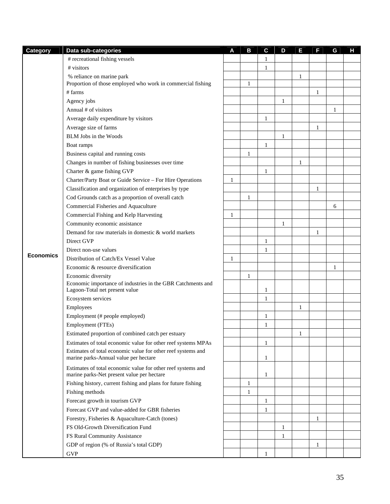| <b>Category</b>  | Data sub-categories                                                                                   | A            | B            | $\mathbf c$  | D | E | Е            | G            | н |
|------------------|-------------------------------------------------------------------------------------------------------|--------------|--------------|--------------|---|---|--------------|--------------|---|
|                  | # recreational fishing vessels                                                                        |              |              | 1            |   |   |              |              |   |
|                  | # visitors                                                                                            |              |              | 1            |   |   |              |              |   |
|                  | % reliance on marine park                                                                             |              |              |              |   | 1 |              |              |   |
|                  | Proportion of those employed who work in commercial fishing                                           |              | 1            |              |   |   |              |              |   |
|                  | # farms                                                                                               |              |              |              |   |   | $\mathbf{1}$ |              |   |
|                  | Agency jobs                                                                                           |              |              |              | 1 |   |              |              |   |
|                  | Annual # of visitors                                                                                  |              |              |              |   |   |              | $\mathbf{1}$ |   |
|                  | Average daily expenditure by visitors                                                                 |              |              | 1            |   |   |              |              |   |
|                  | Average size of farms                                                                                 |              |              |              |   |   | 1            |              |   |
|                  | <b>BLM</b> Jobs in the Woods                                                                          |              |              |              | 1 |   |              |              |   |
|                  | Boat ramps                                                                                            |              |              | $\mathbf{1}$ |   |   |              |              |   |
|                  | Business capital and running costs                                                                    |              | $\mathbf{1}$ |              |   |   |              |              |   |
|                  | Changes in number of fishing businesses over time                                                     |              |              |              |   | 1 |              |              |   |
|                  | Charter & game fishing GVP                                                                            |              |              | $\mathbf{1}$ |   |   |              |              |   |
|                  | Charter/Party Boat or Guide Service - For Hire Operations                                             | 1            |              |              |   |   |              |              |   |
|                  | Classification and organization of enterprises by type                                                |              |              |              |   |   | 1            |              |   |
|                  | Cod Grounds catch as a proportion of overall catch                                                    |              | $\mathbf{1}$ |              |   |   |              |              |   |
|                  | Commercial Fisheries and Aquaculture                                                                  |              |              |              |   |   |              | 6            |   |
|                  | Commercial Fishing and Kelp Harvesting                                                                | $\mathbf{1}$ |              |              |   |   |              |              |   |
|                  | Community economic assistance                                                                         |              |              |              | 1 |   |              |              |   |
|                  | Demand for raw materials in domestic & world markets                                                  |              |              |              |   |   | 1            |              |   |
|                  | Direct GVP                                                                                            |              |              | 1            |   |   |              |              |   |
|                  | Direct non-use values                                                                                 |              |              | 1            |   |   |              |              |   |
| <b>Economics</b> | Distribution of Catch/Ex Vessel Value                                                                 | $\mathbf{1}$ |              |              |   |   |              |              |   |
|                  | Economic & resource diversification                                                                   |              |              |              |   |   |              | 1            |   |
|                  | Economic diversity                                                                                    |              | 1            |              |   |   |              |              |   |
|                  | Economic importance of industries in the GBR Catchments and<br>Lagoon-Total net present value         |              |              | 1            |   |   |              |              |   |
|                  | Ecosystem services                                                                                    |              |              | 1            |   |   |              |              |   |
|                  | Employees                                                                                             |              |              |              |   | 1 |              |              |   |
|                  | Employment (# people employed)                                                                        |              |              | 1            |   |   |              |              |   |
|                  | Employment (FTEs)                                                                                     |              |              | 1            |   |   |              |              |   |
|                  | Estimated proportion of combined catch per estuary                                                    |              |              |              |   |   |              |              |   |
|                  | Estimates of total economic value for other reef systems MPAs                                         |              |              | $\mathbf{1}$ |   |   |              |              |   |
|                  | Estimates of total economic value for other reef systems and<br>marine parks-Annual value per hectare |              |              | 1            |   |   |              |              |   |
|                  | Estimates of total economic value for other reef systems and                                          |              |              |              |   |   |              |              |   |
|                  | marine parks-Net present value per hectare                                                            |              |              | 1            |   |   |              |              |   |
|                  | Fishing history, current fishing and plans for future fishing                                         |              | 1            |              |   |   |              |              |   |
|                  | Fishing methods                                                                                       |              | $\mathbf{1}$ |              |   |   |              |              |   |
|                  | Forecast growth in tourism GVP                                                                        |              |              | 1            |   |   |              |              |   |
|                  | Forecast GVP and value-added for GBR fisheries                                                        |              |              | 1            |   |   |              |              |   |
|                  | Forestry, Fisheries & Aquaculture-Catch (tones)                                                       |              |              |              |   |   | 1            |              |   |
|                  | FS Old-Growth Diversification Fund                                                                    |              |              |              | 1 |   |              |              |   |
|                  | FS Rural Community Assistance                                                                         |              |              |              | 1 |   |              |              |   |
|                  | GDP of region (% of Russia's total GDP)                                                               |              |              |              |   |   | 1            |              |   |
|                  | <b>GVP</b>                                                                                            |              |              | $\mathbf{1}$ |   |   |              |              |   |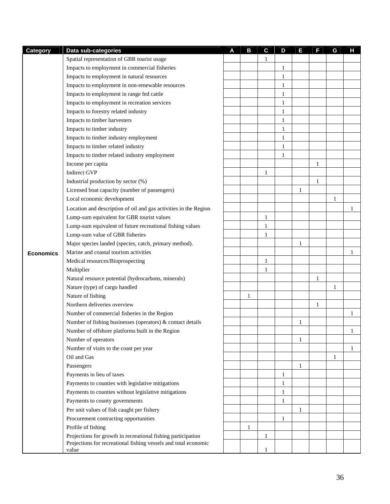| <b>Category</b>  | Data sub-categories                                                      | A | в | C            | D            | E            | Е            | G | н |
|------------------|--------------------------------------------------------------------------|---|---|--------------|--------------|--------------|--------------|---|---|
|                  | Spatial representation of GBR tourist usage                              |   |   | $\mathbf{1}$ |              |              |              |   |   |
|                  | Impacts to employment in commercial fisheries                            |   |   |              | $\mathbf{1}$ |              |              |   |   |
|                  | Impacts to employment in natural resources                               |   |   |              | 1            |              |              |   |   |
|                  | Impacts to employment in non-renewable resources                         |   |   |              | $\mathbf{1}$ |              |              |   |   |
|                  | Impacts to employment in range fed cattle                                |   |   |              | 1            |              |              |   |   |
|                  | Impacts to employment in recreation services                             |   |   |              | $\mathbf{1}$ |              |              |   |   |
|                  | Impacts to forestry related industry                                     |   |   |              | $\mathbf{1}$ |              |              |   |   |
|                  | Impacts to timber harvesters                                             |   |   |              | 1            |              |              |   |   |
|                  | Impacts to timber industry                                               |   |   |              | 1            |              |              |   |   |
|                  | Impacts to timber industry employment                                    |   |   |              | $\mathbf{1}$ |              |              |   |   |
|                  | Impacts to timber related industry                                       |   |   |              | 1            |              |              |   |   |
|                  | Impacts to timber related industry employment                            |   |   |              | 1            |              |              |   |   |
|                  | Income per capita                                                        |   |   |              |              |              | $\mathbf{1}$ |   |   |
|                  | <b>Indirect GVP</b>                                                      |   |   | 1            |              |              |              |   |   |
|                  | Industrial production by sector (%)                                      |   |   |              |              |              | 1            |   |   |
|                  | Licensed boat capacity (number of passengers)                            |   |   |              |              | $\mathbf{1}$ |              |   |   |
|                  | Local economic development                                               |   |   |              |              |              |              | 1 |   |
|                  | Location and description of oil and gas activities in the Region         |   |   |              |              |              |              |   | 1 |
|                  | Lump-sum equivalent for GBR tourist values                               |   |   | 1            |              |              |              |   |   |
|                  | Lump-sum equivalent of future recreational fishing values                |   |   | 1            |              |              |              |   |   |
|                  | Lump-sum value of GBR fisheries                                          |   |   | 1            |              |              |              |   |   |
|                  | Major species landed (species, catch, primary method).                   |   |   |              |              | 1            |              |   |   |
| <b>Economics</b> | Marine and coastal tourism activities                                    |   |   |              |              |              |              |   | 1 |
|                  | Medical resources/Bioprospecting                                         |   |   | 1            |              |              |              |   |   |
|                  | Multiplier                                                               |   |   | 1            |              |              |              |   |   |
|                  | Natural resource potential (hydrocarbons, minerals)                      |   |   |              |              |              | 1            |   |   |
|                  | Nature (type) of cargo handled                                           |   |   |              |              |              |              | 1 |   |
|                  | Nature of fishing                                                        |   | 1 |              |              |              |              |   |   |
|                  | Northern deliveries overview                                             |   |   |              |              |              | $\mathbf{1}$ |   |   |
|                  | Number of commercial fisheries in the Region                             |   |   |              |              |              |              |   | 1 |
|                  | Number of fishing businesses (operators) & contact details               |   |   |              |              | 1            |              |   |   |
|                  | Number of offshore platforms built in the Region                         |   |   |              |              |              |              |   | 1 |
|                  | Number of operators                                                      |   |   |              |              | $\mathbf{1}$ |              |   |   |
|                  | Number of visits to the coast per year                                   |   |   |              |              |              |              |   | 1 |
|                  | Oil and Gas                                                              |   |   |              |              |              |              | 1 |   |
|                  | Passengers                                                               |   |   |              |              | $\mathbf{1}$ |              |   |   |
|                  | Payments in lieu of taxes                                                |   |   |              | 1            |              |              |   |   |
|                  | Payments to counties with legislative mitigations                        |   |   |              | 1            |              |              |   |   |
|                  | Payments to counties without legislative mitigations                     |   |   |              | 1            |              |              |   |   |
|                  | Payments to county governments                                           |   |   |              | 1            |              |              |   |   |
|                  | Per unit values of fish caught per fishery                               |   |   |              |              | 1            |              |   |   |
|                  | Procurement contracting opportunities                                    |   |   |              | 1            |              |              |   |   |
|                  | Profile of fishing                                                       |   | 1 |              |              |              |              |   |   |
|                  | Projections for growth in recreational fishing participation             |   |   | 1            |              |              |              |   |   |
|                  | Projections for recreational fishing vessels and total economic<br>value |   |   |              |              |              |              |   |   |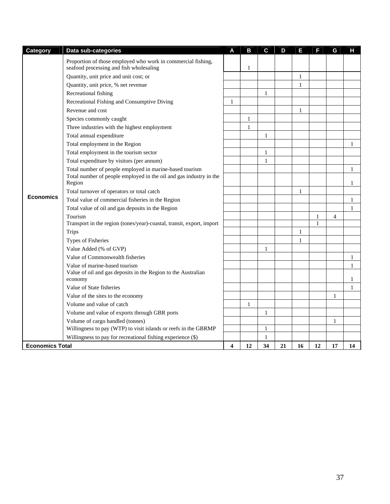| Category               | Data sub-categories                                                                                     | A            | B  | C            | D  | Е            | Е            | G              | н            |
|------------------------|---------------------------------------------------------------------------------------------------------|--------------|----|--------------|----|--------------|--------------|----------------|--------------|
|                        | Proportion of those employed who work in commercial fishing,<br>seafood processing and fish wholesaling |              | 1  |              |    |              |              |                |              |
|                        | Quantity, unit price and unit cost; or                                                                  |              |    |              |    | $\mathbf{1}$ |              |                |              |
|                        | Quantity, unit price, % net revenue                                                                     |              |    |              |    | $\mathbf{1}$ |              |                |              |
|                        | Recreational fishing                                                                                    |              |    | 1            |    |              |              |                |              |
|                        | Recreational Fishing and Consumptive Diving                                                             | $\mathbf{1}$ |    |              |    |              |              |                |              |
|                        | Revenue and cost                                                                                        |              |    |              |    | $\mathbf{1}$ |              |                |              |
|                        | Species commonly caught                                                                                 |              | 1  |              |    |              |              |                |              |
|                        | Three industries with the highest employment                                                            |              | 1  |              |    |              |              |                |              |
|                        | Total annual expenditure                                                                                |              |    | 1            |    |              |              |                |              |
|                        | Total employment in the Region                                                                          |              |    |              |    |              |              |                | $\mathbf{1}$ |
|                        | Total employment in the tourism sector                                                                  |              |    | 1            |    |              |              |                |              |
|                        | Total expenditure by visitors (per annum)                                                               |              |    | $\mathbf{1}$ |    |              |              |                |              |
|                        | Total number of people employed in marine-based tourism                                                 |              |    |              |    |              |              |                | 1            |
|                        | Total number of people employed in the oil and gas industry in the<br>Region                            |              |    |              |    |              |              |                | 1            |
|                        | Total turnover of operators or total catch                                                              |              |    |              |    | $\mathbf{1}$ |              |                |              |
| <b>Economics</b>       | Total value of commercial fisheries in the Region                                                       |              |    |              |    |              |              |                | 1            |
|                        | Total value of oil and gas deposits in the Region                                                       |              |    |              |    |              |              |                | $\mathbf{1}$ |
|                        | Tourism                                                                                                 |              |    |              |    |              | 1            | $\overline{4}$ |              |
|                        | Transport in the region (tones/year)-coastal, transit, export, import                                   |              |    |              |    |              | $\mathbf{1}$ |                |              |
|                        | <b>Trips</b>                                                                                            |              |    |              |    | $\mathbf{1}$ |              |                |              |
|                        | Types of Fisheries                                                                                      |              |    |              |    | $\mathbf{1}$ |              |                |              |
|                        | Value Added (% of GVP)                                                                                  |              |    | 1            |    |              |              |                |              |
|                        | Value of Commonwealth fisheries                                                                         |              |    |              |    |              |              |                | 1            |
|                        | Value of marine-based tourism                                                                           |              |    |              |    |              |              |                | 1            |
|                        | Value of oil and gas deposits in the Region to the Australian<br>economy                                |              |    |              |    |              |              |                | $\mathbf{1}$ |
|                        | Value of State fisheries                                                                                |              |    |              |    |              |              |                | $\mathbf{1}$ |
|                        | Value of the sites to the economy                                                                       |              |    |              |    |              |              | 1              |              |
|                        | Volume and value of catch                                                                               |              | 1  |              |    |              |              |                |              |
|                        | Volume and value of exports through GBR ports                                                           |              |    | 1            |    |              |              |                |              |
|                        | Volume of cargo handled (tonnes)                                                                        |              |    |              |    |              |              | 1              |              |
|                        | Willingness to pay (WTP) to visit islands or reefs in the GBRMP                                         |              |    | 1            |    |              |              |                |              |
|                        | Willingness to pay for recreational fishing experience (\$)                                             |              |    | 1            |    |              |              |                |              |
| <b>Economics Total</b> |                                                                                                         | 4            | 12 | 34           | 21 | 16           | 12           | 17             | 14           |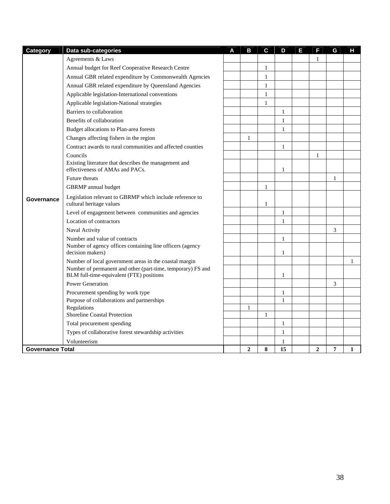| <b>Category</b>         | Data sub-categories                                                                                     | A | B              | C            | D            | Е | Е              | G              | н            |
|-------------------------|---------------------------------------------------------------------------------------------------------|---|----------------|--------------|--------------|---|----------------|----------------|--------------|
|                         | Agreements & Laws                                                                                       |   |                |              |              |   | 1              |                |              |
|                         | Annual budget for Reef Cooperative Research Centre                                                      |   |                | 1            |              |   |                |                |              |
|                         | Annual GBR related expenditure by Commonwealth Agencies                                                 |   |                | $\mathbf{1}$ |              |   |                |                |              |
|                         | Annual GBR related expenditure by Queensland Agencies                                                   |   |                | 1            |              |   |                |                |              |
|                         | Applicable legislation-International conventions                                                        |   |                | $\mathbf{1}$ |              |   |                |                |              |
|                         | Applicable legislation-National strategies                                                              |   |                | 1            |              |   |                |                |              |
|                         | Barriers to collaboration                                                                               |   |                |              | $\mathbf{1}$ |   |                |                |              |
|                         | Benefits of collaboration                                                                               |   |                |              | $\mathbf{1}$ |   |                |                |              |
|                         | Budget allocations to Plan-area forests                                                                 |   |                |              | $\mathbf{1}$ |   |                |                |              |
|                         | Changes affecting fishers in the region                                                                 |   | 1              |              |              |   |                |                |              |
|                         | Contract awards to rural communities and affected counties                                              |   |                |              | $\mathbf{1}$ |   |                |                |              |
|                         | Councils                                                                                                |   |                |              |              |   | 1              |                |              |
|                         | Existing literature that describes the management and<br>effectiveness of AMAs and PACs.                |   |                |              | 1            |   |                |                |              |
|                         | Future threats                                                                                          |   |                |              |              |   |                | 1              |              |
|                         | <b>GBRMP</b> annual budget                                                                              |   |                | 1            |              |   |                |                |              |
| Governance              | Legislation relevant to GBRMP which include reference to<br>cultural heritage values                    |   |                | 1            |              |   |                |                |              |
|                         | Level of engagement between communities and agencies                                                    |   |                |              | 1            |   |                |                |              |
|                         | Location of contractors                                                                                 |   |                |              | $\mathbf{1}$ |   |                |                |              |
|                         | Naval Activity                                                                                          |   |                |              |              |   |                | 3              |              |
|                         | Number and value of contracts                                                                           |   |                |              | $\mathbf{1}$ |   |                |                |              |
|                         | Number of agency offices containing line officers (agency<br>decision makers)                           |   |                |              | 1            |   |                |                |              |
|                         | Number of local government areas in the coastal margin                                                  |   |                |              |              |   |                |                | $\mathbf{1}$ |
|                         | Number of permanent and other (part-time, temporary) FS and<br>BLM full-time-equivalent (FTE) positions |   |                |              | $\mathbf{1}$ |   |                |                |              |
|                         | <b>Power Generation</b>                                                                                 |   |                |              |              |   |                | 3              |              |
|                         | Procurement spending by work type                                                                       |   |                |              | $\mathbf{1}$ |   |                |                |              |
|                         | Purpose of collaborations and partnerships                                                              |   |                |              | $\mathbf{1}$ |   |                |                |              |
|                         | Regulations                                                                                             |   | 1              |              |              |   |                |                |              |
|                         | <b>Shoreline Coastal Protection</b>                                                                     |   |                | 1            |              |   |                |                |              |
|                         | Total procurement spending                                                                              |   |                |              | 1            |   |                |                |              |
|                         | Types of collaborative forest stewardship activities                                                    |   |                |              | $\mathbf{1}$ |   |                |                |              |
|                         | Volunteerism                                                                                            |   |                |              | $\mathbf{1}$ |   |                |                |              |
| <b>Governance Total</b> |                                                                                                         |   | $\overline{2}$ | 8            | 15           |   | $\overline{2}$ | $\overline{7}$ | $\mathbf{1}$ |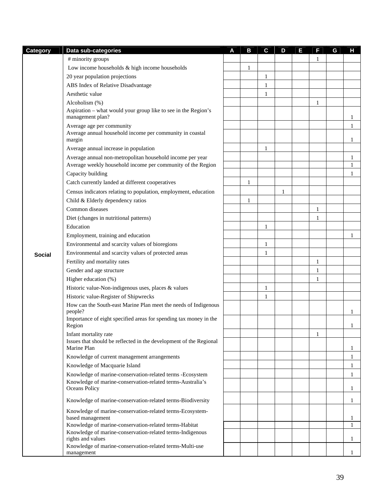| Category      | Data sub-categories                                                                                                                      | A | B            | C            | D | Е | F            | G | н                 |
|---------------|------------------------------------------------------------------------------------------------------------------------------------------|---|--------------|--------------|---|---|--------------|---|-------------------|
|               | # minority groups                                                                                                                        |   |              |              |   |   | 1            |   |                   |
|               | Low income households & high income households                                                                                           |   | $\mathbf{1}$ |              |   |   |              |   |                   |
|               | 20 year population projections                                                                                                           |   |              | 1            |   |   |              |   |                   |
|               | ABS Index of Relative Disadvantage                                                                                                       |   |              | 1            |   |   |              |   |                   |
|               | Aesthetic value                                                                                                                          |   |              | 1            |   |   |              |   |                   |
|               | Alcoholism (%)                                                                                                                           |   |              |              |   |   | 1            |   |                   |
|               | Aspiration – what would your group like to see in the Region's<br>management plan?                                                       |   |              |              |   |   |              |   | 1                 |
|               | Average age per community<br>Average annual household income per community in coastal<br>margin                                          |   |              |              |   |   |              |   | $\mathbf{1}$<br>1 |
|               | Average annual increase in population                                                                                                    |   |              | 1            |   |   |              |   |                   |
|               | Average annual non-metropolitan household income per year<br>Average weekly household income per community of the Region                 |   |              |              |   |   |              |   | 1<br>$\mathbf{1}$ |
|               | Capacity building                                                                                                                        |   |              |              |   |   |              |   | 1                 |
|               | Catch currently landed at different cooperatives                                                                                         |   | 1            |              |   |   |              |   |                   |
|               | Census indicators relating to population, employment, education                                                                          |   |              |              | 1 |   |              |   |                   |
|               | Child & Elderly dependency ratios                                                                                                        |   | 1            |              |   |   |              |   |                   |
|               | Common diseases                                                                                                                          |   |              |              |   |   | $\mathbf{1}$ |   |                   |
|               | Diet (changes in nutritional patterns)                                                                                                   |   |              |              |   |   | 1            |   |                   |
|               | Education                                                                                                                                |   |              | 1            |   |   |              |   |                   |
|               | Employment, training and education                                                                                                       |   |              |              |   |   |              |   | 1                 |
|               | Environmental and scarcity values of bioregions                                                                                          |   |              | $\mathbf{1}$ |   |   |              |   |                   |
| <b>Social</b> | Environmental and scarcity values of protected areas                                                                                     |   |              | 1            |   |   |              |   |                   |
|               | Fertility and mortality rates                                                                                                            |   |              |              |   |   | 1            |   |                   |
|               | Gender and age structure                                                                                                                 |   |              |              |   |   | 1            |   |                   |
|               | Higher education (%)                                                                                                                     |   |              |              |   |   | 1            |   |                   |
|               | Historic value-Non-indigenous uses, places & values                                                                                      |   |              | 1            |   |   |              |   |                   |
|               | Historic value-Register of Shipwrecks                                                                                                    |   |              | 1            |   |   |              |   |                   |
|               | How can the South-east Marine Plan meet the needs of Indigenous<br>people?                                                               |   |              |              |   |   |              |   | 1                 |
|               | Importance of eight specified areas for spending tax money in the<br>Region                                                              |   |              |              |   |   |              |   | 1                 |
|               | Infant mortality rate                                                                                                                    |   |              |              |   |   | 1            |   |                   |
|               | Issues that should be reflected in the development of the Regional<br>Marine Plan                                                        |   |              |              |   |   |              |   | 1                 |
|               | Knowledge of current management arrangements                                                                                             |   |              |              |   |   |              |   | 1                 |
|               | Knowledge of Macquarie Island                                                                                                            |   |              |              |   |   |              |   | $\mathbf{1}$      |
|               | Knowledge of marine-conservation-related terms -Ecosystem<br>Knowledge of marine-conservation-related terms-Australia's<br>Oceans Policy |   |              |              |   |   |              |   | $\mathbf{1}$<br>1 |
|               | Knowledge of marine-conservation-related terms-Biodiversity                                                                              |   |              |              |   |   |              |   | $\mathbf{1}$      |
|               | Knowledge of marine-conservation-related terms-Ecosystem-<br>based management                                                            |   |              |              |   |   |              |   | 1                 |
|               | Knowledge of marine-conservation-related terms-Habitat                                                                                   |   |              |              |   |   |              |   | $\mathbf{1}$      |
|               | Knowledge of marine-conservation-related terms-Indigenous<br>rights and values                                                           |   |              |              |   |   |              |   | 1                 |
|               | Knowledge of marine-conservation-related terms-Multi-use<br>management                                                                   |   |              |              |   |   |              |   | 1                 |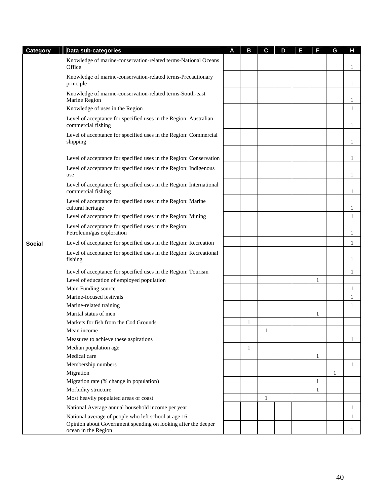| Category      | Data sub-categories                                                                                                   | A | B            | C | D | Е | Е            | G | н            |
|---------------|-----------------------------------------------------------------------------------------------------------------------|---|--------------|---|---|---|--------------|---|--------------|
|               | Knowledge of marine-conservation-related terms-National Oceans<br>Office                                              |   |              |   |   |   |              |   | 1            |
|               | Knowledge of marine-conservation-related terms-Precautionary<br>principle                                             |   |              |   |   |   |              |   | 1            |
|               | Knowledge of marine-conservation-related terms-South-east<br>Marine Region                                            |   |              |   |   |   |              |   |              |
|               | Knowledge of uses in the Region                                                                                       |   |              |   |   |   |              |   | $\mathbf{1}$ |
|               | Level of acceptance for specified uses in the Region: Australian<br>commercial fishing                                |   |              |   |   |   |              |   | 1            |
|               | Level of acceptance for specified uses in the Region: Commercial<br>shipping                                          |   |              |   |   |   |              |   |              |
|               | Level of acceptance for specified uses in the Region: Conservation                                                    |   |              |   |   |   |              |   | 1            |
|               | Level of acceptance for specified uses in the Region: Indigenous<br>use                                               |   |              |   |   |   |              |   | 1            |
|               | Level of acceptance for specified uses in the Region: International<br>commercial fishing                             |   |              |   |   |   |              |   |              |
|               | Level of acceptance for specified uses in the Region: Marine<br>cultural heritage                                     |   |              |   |   |   |              |   | 1            |
|               | Level of acceptance for specified uses in the Region: Mining                                                          |   |              |   |   |   |              |   | 1            |
|               | Level of acceptance for specified uses in the Region:<br>Petroleum/gas exploration                                    |   |              |   |   |   |              |   | 1            |
| <b>Social</b> | Level of acceptance for specified uses in the Region: Recreation                                                      |   |              |   |   |   |              |   | $\mathbf{1}$ |
|               | Level of acceptance for specified uses in the Region: Recreational<br>fishing                                         |   |              |   |   |   |              |   | 1            |
|               | Level of acceptance for specified uses in the Region: Tourism                                                         |   |              |   |   |   |              |   | 1            |
|               | Level of education of employed population                                                                             |   |              |   |   |   | $\mathbf{1}$ |   |              |
|               | Main Funding source                                                                                                   |   |              |   |   |   |              |   | 1            |
|               | Marine-focused festivals                                                                                              |   |              |   |   |   |              |   | $\mathbf{1}$ |
|               | Marine-related training                                                                                               |   |              |   |   |   |              |   | 1            |
|               | Marital status of men                                                                                                 |   |              |   |   |   | 1            |   |              |
|               | Markets for fish from the Cod Grounds                                                                                 |   | 1            |   |   |   |              |   |              |
|               | Mean income                                                                                                           |   |              | 1 |   |   |              |   |              |
|               | Measures to achieve these aspirations                                                                                 |   |              |   |   |   |              |   | 1            |
|               | Median population age                                                                                                 |   | $\mathbf{1}$ |   |   |   |              |   |              |
|               | Medical care                                                                                                          |   |              |   |   |   | $\mathbf{1}$ |   |              |
|               | Membership numbers                                                                                                    |   |              |   |   |   |              |   | 1            |
|               | Migration                                                                                                             |   |              |   |   |   |              | 1 |              |
|               | Migration rate (% change in population)                                                                               |   |              |   |   |   | $\mathbf{1}$ |   |              |
|               | Morbidity structure                                                                                                   |   |              |   |   |   | $\mathbf{1}$ |   |              |
|               | Most heavily populated areas of coast                                                                                 |   |              | 1 |   |   |              |   |              |
|               | National Average annual household income per year                                                                     |   |              |   |   |   |              |   | 1            |
|               | National average of people who left school at age 16<br>Opinion about Government spending on looking after the deeper |   |              |   |   |   |              |   | 1            |
|               | ocean in the Region                                                                                                   |   |              |   |   |   |              |   | 1            |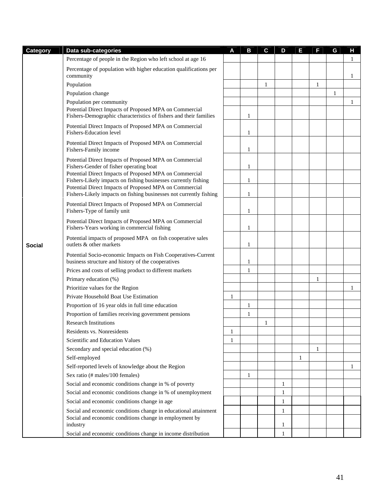| <b>Category</b> | Data sub-categories                                                                                                         | A            | B            | C | D | Е            | F            | G | н            |
|-----------------|-----------------------------------------------------------------------------------------------------------------------------|--------------|--------------|---|---|--------------|--------------|---|--------------|
|                 | Percentage of people in the Region who left school at age 16                                                                |              |              |   |   |              |              |   | 1            |
|                 | Percentage of population with higher education qualifications per<br>community                                              |              |              |   |   |              |              |   | 1            |
|                 | Population                                                                                                                  |              |              | 1 |   |              | $\mathbf{1}$ |   |              |
|                 | Population change                                                                                                           |              |              |   |   |              |              | 1 |              |
|                 | Population per community                                                                                                    |              |              |   |   |              |              |   | $\mathbf{1}$ |
|                 | Potential Direct Impacts of Proposed MPA on Commercial<br>Fishers-Demographic characteristics of fishers and their families |              | 1            |   |   |              |              |   |              |
|                 | Potential Direct Impacts of Proposed MPA on Commercial<br>Fishers-Education level                                           |              | 1            |   |   |              |              |   |              |
|                 | Potential Direct Impacts of Proposed MPA on Commercial<br>Fishers-Family income                                             |              | 1            |   |   |              |              |   |              |
|                 | Potential Direct Impacts of Proposed MPA on Commercial<br>Fishers-Gender of fisher operating boat                           |              | 1            |   |   |              |              |   |              |
|                 | Potential Direct Impacts of Proposed MPA on Commercial                                                                      |              |              |   |   |              |              |   |              |
|                 | Fishers-Likely impacts on fishing businesses currently fishing<br>Potential Direct Impacts of Proposed MPA on Commercial    |              | 1            |   |   |              |              |   |              |
|                 | Fishers-Likely impacts on fishing businesses not currently fishing                                                          |              | 1            |   |   |              |              |   |              |
|                 | Potential Direct Impacts of Proposed MPA on Commercial<br>Fishers-Type of family unit                                       |              | 1            |   |   |              |              |   |              |
|                 | Potential Direct Impacts of Proposed MPA on Commercial<br>Fishers-Years working in commercial fishing                       |              | 1            |   |   |              |              |   |              |
| <b>Social</b>   | Potential impacts of proposed MPA on fish cooperative sales<br>outlets & other markets                                      |              | 1            |   |   |              |              |   |              |
|                 | Potential Socio-economic Impacts on Fish Cooperatives-Current<br>business structure and history of the cooperatives         |              | 1            |   |   |              |              |   |              |
|                 | Prices and costs of selling product to different markets                                                                    |              | 1            |   |   |              |              |   |              |
|                 | Primary education (%)                                                                                                       |              |              |   |   |              | 1            |   |              |
|                 | Prioritize values for the Region                                                                                            |              |              |   |   |              |              |   | 1            |
|                 | Private Household Boat Use Estimation                                                                                       | $\mathbf{1}$ |              |   |   |              |              |   |              |
|                 | Proportion of 16 year olds in full time education                                                                           |              | $\mathbf{1}$ |   |   |              |              |   |              |
|                 | Proportion of families receiving government pensions                                                                        |              | 1            |   |   |              |              |   |              |
|                 | <b>Research Institutions</b>                                                                                                |              |              | 1 |   |              |              |   |              |
|                 | Residents vs. Nonresidents                                                                                                  | $\,1$        |              |   |   |              |              |   |              |
|                 | Scientific and Education Values                                                                                             | $\mathbf{1}$ |              |   |   |              |              |   |              |
|                 | Secondary and special education (%)                                                                                         |              |              |   |   |              | 1            |   |              |
|                 | Self-employed                                                                                                               |              |              |   |   | $\mathbf{1}$ |              |   |              |
|                 | Self-reported levels of knowledge about the Region                                                                          |              |              |   |   |              |              |   | 1            |
|                 | Sex ratio (# males/100 females)                                                                                             |              | 1            |   |   |              |              |   |              |
|                 | Social and economic conditions change in % of poverty                                                                       |              |              |   | 1 |              |              |   |              |
|                 | Social and economic conditions change in % of unemployment                                                                  |              |              |   | 1 |              |              |   |              |
|                 | Social and economic conditions change in age                                                                                |              |              |   | 1 |              |              |   |              |
|                 | Social and economic conditions change in educational attainment                                                             |              |              |   | 1 |              |              |   |              |
|                 | Social and economic conditions change in employment by<br>industry                                                          |              |              |   | 1 |              |              |   |              |
|                 | Social and economic conditions change in income distribution                                                                |              |              |   | 1 |              |              |   |              |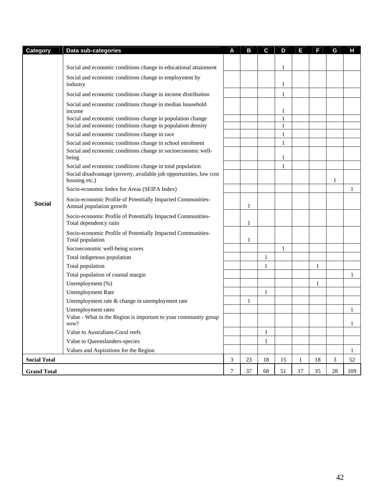| Category            | Data sub-categories                                                                                                       | A              | $\mathbf{B}$ | $\mathbf c$  | D            | E  | F            | G            | н            |
|---------------------|---------------------------------------------------------------------------------------------------------------------------|----------------|--------------|--------------|--------------|----|--------------|--------------|--------------|
|                     |                                                                                                                           |                |              |              |              |    |              |              |              |
|                     | Social and economic conditions change in educational attainment                                                           |                |              |              | 1            |    |              |              |              |
|                     | Social and economic conditions change in employment by<br>industry                                                        |                |              |              | 1            |    |              |              |              |
|                     | Social and economic conditions change in income distribution                                                              |                |              |              | $\mathbf{1}$ |    |              |              |              |
|                     | Social and economic conditions change in median household<br>income                                                       |                |              |              | 1            |    |              |              |              |
|                     | Social and economic conditions change in population change<br>Social and economic conditions change in population density |                |              |              | 1<br>1       |    |              |              |              |
|                     | Social and economic conditions change in race                                                                             |                |              |              | 1            |    |              |              |              |
|                     | Social and economic conditions change in school enrolment<br>Social and economic conditions change in socioeconomic well- |                |              |              | 1            |    |              |              |              |
|                     | being                                                                                                                     |                |              |              | $\mathbf{1}$ |    |              |              |              |
|                     | Social and economic conditions change in total population                                                                 |                |              |              | 1            |    |              |              |              |
|                     | Social disadvantage (poverty, available job opportunities, low cost<br>housing etc.)                                      |                |              |              |              |    |              | $\mathbf{1}$ |              |
|                     | Socio-economic Index for Areas (SEIFA Index)                                                                              |                |              |              |              |    |              |              | $\mathbf{1}$ |
| <b>Social</b>       | Socio-economic Profile of Potentially Impacted Communities-<br>Annual population growth                                   |                | 1            |              |              |    |              |              |              |
|                     | Socio-economic Profile of Potentially Impacted Communities-<br>Total dependency ratio                                     |                | 1            |              |              |    |              |              |              |
|                     | Socio-economic Profile of Potentially Impacted Communities-<br>Total population                                           |                | $\mathbf{1}$ |              |              |    |              |              |              |
|                     | Socioeconomic well-being scores                                                                                           |                |              |              | 1            |    |              |              |              |
|                     | Total indigenous population                                                                                               |                |              | 1            |              |    |              |              |              |
|                     | Total population                                                                                                          |                |              | 1            |              |    | 1            |              |              |
|                     | Total population of coastal margin                                                                                        |                |              |              |              |    |              |              | 1            |
|                     | Unemployment (%)                                                                                                          |                |              |              |              |    | $\mathbf{1}$ |              |              |
|                     | <b>Unemployment Rate</b>                                                                                                  |                |              | 1            |              |    |              |              |              |
|                     | Unemployment rate & change in unemployment rate                                                                           |                | 1            |              |              |    |              |              |              |
|                     | Unemployment rates                                                                                                        |                |              |              |              |    |              |              | 1            |
|                     | Value - What in the Region is important to your community group<br>now?                                                   |                |              |              |              |    |              |              | 1            |
|                     | Value to Australians-Coral reefs                                                                                          |                |              | $\mathbf{1}$ |              |    |              |              |              |
|                     | Value to Queenslanders-species                                                                                            |                |              | 1            |              |    |              |              |              |
|                     | Values and Aspirations for the Region                                                                                     |                |              |              |              |    |              |              | $\mathbf{1}$ |
| <b>Social Total</b> |                                                                                                                           | 3              | 23           | 18           | 15           | 1  | 18           | 3            | 52           |
| <b>Grand Total</b>  |                                                                                                                           | $\overline{7}$ | 37           | 68           | 51           | 17 | 35           | 28           | 109          |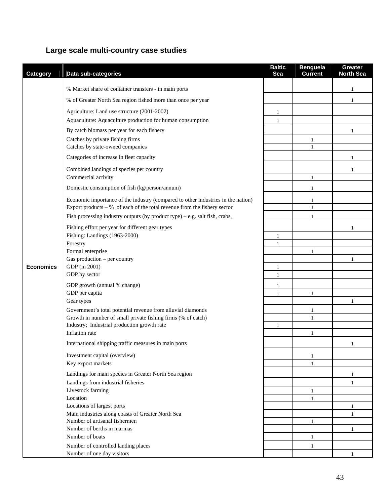### **Large scale multi-country case studies**

|                  |                                                                                  | <b>Baltic</b> | <b>Benguela</b> | Greater          |
|------------------|----------------------------------------------------------------------------------|---------------|-----------------|------------------|
| Category         | Data sub-categories                                                              | Sea           | <b>Current</b>  | <b>North Sea</b> |
|                  | % Market share of container transfers - in main ports                            |               |                 | $\mathbf{1}$     |
|                  | % of Greater North Sea region fished more than once per year                     |               |                 | $\mathbf{1}$     |
|                  | Agriculture: Land use structure (2001-2002)                                      | 1             |                 |                  |
|                  | Aquaculture: Aquaculture production for human consumption                        | 1             |                 |                  |
|                  | By catch biomass per year for each fishery                                       |               |                 | 1                |
|                  | Catches by private fishing firms                                                 |               | 1               |                  |
|                  | Catches by state-owned companies                                                 |               |                 |                  |
|                  | Categories of increase in fleet capacity                                         |               |                 | 1                |
|                  | Combined landings of species per country<br>Commercial activity                  |               | $\mathbf{1}$    |                  |
|                  | Domestic consumption of fish (kg/person/annum)                                   |               | 1               |                  |
|                  | Economic importance of the industry (compared to other industries in the nation) |               | 1               |                  |
|                  | Export products $-$ % of each of the total revenue from the fishery sector       |               | $\mathbf{1}$    |                  |
|                  | Fish processing industry outputs (by product type) – e.g. salt fish, crabs,      |               | 1               |                  |
|                  | Fishing effort per year for different gear types                                 |               |                 | 1                |
|                  | Fishing: Landings (1963-2000)                                                    | 1             |                 |                  |
|                  | Forestry                                                                         | 1             |                 |                  |
|                  | Formal enterprise                                                                |               | $\mathbf{1}$    |                  |
|                  | Gas production - per country                                                     |               |                 | $\mathbf{1}$     |
| <b>Economics</b> | GDP (in 2001)                                                                    | 1             |                 |                  |
|                  | GDP by sector                                                                    | $\mathbf{1}$  |                 |                  |
|                  | GDP growth (annual % change)                                                     | 1             |                 |                  |
|                  | GDP per capita                                                                   | 1             | 1               |                  |
|                  | Gear types                                                                       |               |                 | $\mathbf{1}$     |
|                  | Government's total potential revenue from alluvial diamonds                      |               | 1               |                  |
|                  | Growth in number of small private fishing firms (% of catch)                     |               | $\mathbf{1}$    |                  |
|                  | Industry; Industrial production growth rate<br>Inflation rate                    |               | 1               |                  |
|                  |                                                                                  |               |                 |                  |
|                  | International shipping traffic measures in main ports                            |               |                 | 1                |
|                  | Investment capital (overview)                                                    |               |                 |                  |
|                  | Key export markets                                                               |               | $\mathbf{1}$    |                  |
|                  | Landings for main species in Greater North Sea region                            |               |                 | 1                |
|                  | Landings from industrial fisheries                                               |               |                 | $\mathbf{1}$     |
|                  | Livestock farming                                                                |               | 1               |                  |
|                  | Location                                                                         |               | 1               |                  |
|                  | Locations of largest ports<br>Main industries along coasts of Greater North Sea  |               |                 | 1                |
|                  | Number of artisanal fishermen                                                    |               | 1               | $\mathbf{1}$     |
|                  | Number of berths in marinas                                                      |               |                 | $\mathbf{1}$     |
|                  | Number of boats                                                                  |               | 1               |                  |
|                  | Number of controlled landing places                                              |               | $\mathbf{1}$    |                  |
|                  | Number of one day visitors                                                       |               |                 | 1                |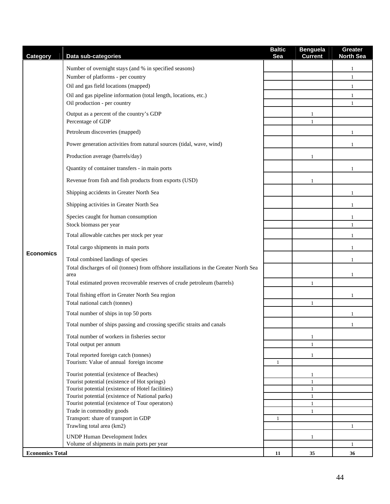| Category               | Data sub-categories                                                                                                                 | <b>Baltic</b><br>Sea | <b>Benguela</b><br><b>Current</b> | <b>Greater</b><br><b>North Sea</b> |
|------------------------|-------------------------------------------------------------------------------------------------------------------------------------|----------------------|-----------------------------------|------------------------------------|
|                        | Number of overnight stays (and % in specified seasons)                                                                              |                      |                                   | $\mathbf{1}$                       |
|                        | Number of platforms - per country                                                                                                   |                      |                                   | $\mathbf{1}$                       |
|                        | Oil and gas field locations (mapped)                                                                                                |                      |                                   | $\mathbf{1}$                       |
|                        | Oil and gas pipeline information (total length, locations, etc.)                                                                    |                      |                                   | 1                                  |
|                        | Oil production - per country                                                                                                        |                      |                                   | 1                                  |
|                        | Output as a percent of the country's GDP<br>Percentage of GDP                                                                       |                      | 1<br>$\mathbf{1}$                 |                                    |
|                        | Petroleum discoveries (mapped)                                                                                                      |                      |                                   | 1                                  |
|                        | Power generation activities from natural sources (tidal, wave, wind)                                                                |                      |                                   | 1                                  |
|                        | Production average (barrels/day)                                                                                                    |                      | -1                                |                                    |
|                        | Quantity of container transfers - in main ports                                                                                     |                      |                                   | $\mathbf{1}$                       |
|                        | Revenue from fish and fish products from exports (USD)                                                                              |                      | $\mathbf{1}$                      |                                    |
|                        | Shipping accidents in Greater North Sea                                                                                             |                      |                                   | $\mathbf{1}$                       |
|                        | Shipping activities in Greater North Sea                                                                                            |                      |                                   | 1                                  |
|                        | Species caught for human consumption                                                                                                |                      |                                   | $\mathbf{1}$                       |
|                        | Stock biomass per year                                                                                                              |                      |                                   | $\mathbf{1}$                       |
|                        | Total allowable catches per stock per year                                                                                          |                      |                                   | 1                                  |
|                        | Total cargo shipments in main ports                                                                                                 |                      |                                   | $\mathbf{1}$                       |
| <b>Economics</b>       | Total combined landings of species<br>Total discharges of oil (tonnes) from offshore installations in the Greater North Sea<br>area |                      |                                   | 1<br>1                             |
|                        | Total estimated proven recoverable reserves of crude petroleum (barrels)                                                            |                      | $\mathbf{1}$                      |                                    |
|                        | Total fishing effort in Greater North Sea region<br>Total national catch (tonnes)                                                   |                      | $\mathbf{1}$                      | 1                                  |
|                        | Total number of ships in top 50 ports                                                                                               |                      |                                   | $\mathbf{1}$                       |
|                        | Total number of ships passing and crossing specific straits and canals                                                              |                      |                                   | $\mathbf{1}$                       |
|                        | Total number of workers in fisheries sector                                                                                         |                      | $\mathbf{1}$                      |                                    |
|                        | Total output per annum                                                                                                              |                      | $\overline{1}$                    |                                    |
|                        | Total reported foreign catch (tonnes)                                                                                               |                      | 1                                 |                                    |
|                        | Tourism: Value of annual foreign income                                                                                             | $\mathbf{1}$         |                                   |                                    |
|                        | Tourist potential (existence of Beaches)                                                                                            |                      | $\mathbf{1}$                      |                                    |
|                        | Tourist potential (existence of Hot springs)<br>Tourist potential (existence of Hotel facilities)                                   |                      | $\mathbf{1}$<br>1                 |                                    |
|                        | Tourist potential (existence of National parks)                                                                                     |                      | $\mathbf{1}$                      |                                    |
|                        | Tourist potential (existence of Tour operators)                                                                                     |                      | $\mathbf{1}$                      |                                    |
|                        | Trade in commodity goods                                                                                                            |                      | $\mathbf{1}$                      |                                    |
|                        | Transport: share of transport in GDP                                                                                                | $\mathbf{1}$         |                                   |                                    |
|                        | Trawling total area (km2)                                                                                                           |                      |                                   | $\mathbf{1}$                       |
|                        | <b>UNDP Human Development Index</b>                                                                                                 |                      | -1                                |                                    |
|                        | Volume of shipments in main ports per year                                                                                          |                      |                                   | $\mathbf{1}$                       |
| <b>Economics Total</b> |                                                                                                                                     | 11                   | 35                                | 36                                 |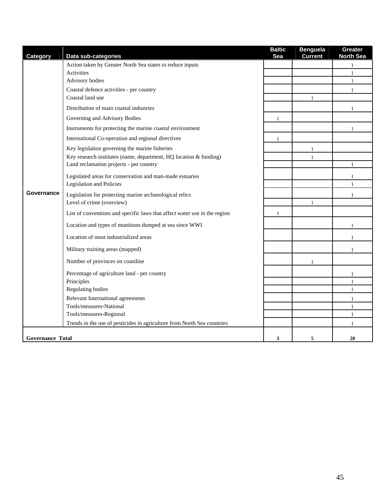| Category                | Data sub-categories                                                       | <b>Baltic</b><br>Sea | <b>Benguela</b><br><b>Current</b> | <b>Greater</b><br><b>North Sea</b> |
|-------------------------|---------------------------------------------------------------------------|----------------------|-----------------------------------|------------------------------------|
|                         | Action taken by Greater North Sea states to reduce inputs                 |                      |                                   | $\mathbf{1}$                       |
|                         | <b>Activities</b>                                                         |                      |                                   | $\mathbf{1}$                       |
|                         | Advisory bodies                                                           |                      |                                   | $\mathbf{1}$                       |
|                         | Coastal defence activities - per country                                  |                      |                                   | $\mathbf{1}$                       |
|                         | Coastal land use                                                          |                      | $\mathbf{1}$                      |                                    |
|                         | Distribution of main coastal industries                                   |                      |                                   | 1                                  |
|                         | Governing and Advisory Bodies                                             | $\mathbf{1}$         |                                   |                                    |
|                         | Instruments for protecting the marine coastal environment                 |                      |                                   | 1                                  |
|                         | International Co-operation and regional directives                        | 1                    |                                   |                                    |
|                         | Key legislation governing the marine fisheries                            |                      | 1                                 |                                    |
|                         | Key research institutes (name, department, HQ location & funding)         |                      | $\mathbf{1}$                      |                                    |
|                         | Land reclamation projects - per country                                   |                      |                                   | $\mathbf{1}$                       |
|                         | Legislated areas for conservation and man-made estuaries                  |                      |                                   | $\mathbf{1}$                       |
|                         | <b>Legislation and Policies</b>                                           |                      |                                   | $\mathbf{1}$                       |
| Governance              | Legislation for protecting marine archaeological relics                   |                      |                                   | $\mathbf{1}$                       |
|                         | Level of crime (overview)                                                 |                      | 1                                 |                                    |
|                         | List of conventions and specific laws that affect water use in the region | 1                    |                                   |                                    |
|                         | Location and types of munitions dumped at sea since WWI                   |                      |                                   | $\mathbf{1}$                       |
|                         | Location of most industrialized areas                                     |                      |                                   | $\mathbf{1}$                       |
|                         | Military training areas (mapped)                                          |                      |                                   | $\mathbf{1}$                       |
|                         | Number of provinces on coastline                                          |                      |                                   |                                    |
|                         | Percentage of agriculture land - per country                              |                      |                                   | 1                                  |
|                         | Principles                                                                |                      |                                   | $\mathbf{1}$                       |
|                         | Regulating bodies                                                         |                      |                                   | $\mathbf{1}$                       |
|                         | Relevant International agreements                                         |                      |                                   | 1                                  |
|                         | Tools/measures-National                                                   |                      |                                   | $\mathbf{1}$                       |
|                         | Tools/measures-Regional                                                   |                      |                                   | $\mathbf{1}$                       |
|                         | Trends in the use of pesticides in agriculture from North Sea countries   |                      |                                   | $\mathbf{1}$                       |
| <b>Governance Total</b> |                                                                           | 3                    | 5                                 | 20                                 |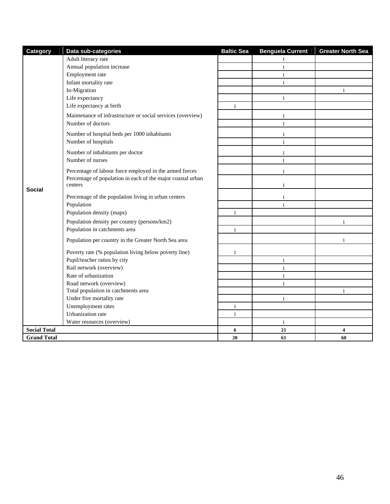| Category            | Data sub-categories                                                    | <b>Baltic Sea</b> | <b>Benguela Current</b> | <b>Greater North Sea</b> |
|---------------------|------------------------------------------------------------------------|-------------------|-------------------------|--------------------------|
|                     | Adult literacy rate                                                    |                   |                         |                          |
|                     | Annual population increase                                             |                   | $\mathbf{1}$            |                          |
|                     | Employment rate                                                        |                   | $\mathbf{1}$            |                          |
|                     | Infant mortality rate                                                  |                   | $\mathbf{1}$            |                          |
|                     | In-Migration                                                           |                   |                         | $\mathbf{1}$             |
|                     | Life expectancy                                                        |                   | $\overline{1}$          |                          |
|                     | Life expectancy at birth                                               | $\mathbf{1}$      |                         |                          |
|                     | Maintenance of infrastructure or social services (overview)            |                   | 1                       |                          |
|                     | Number of doctors                                                      |                   | $\mathbf{1}$            |                          |
|                     | Number of hospital beds per 1000 inhabitants                           |                   | $\mathbf{1}$            |                          |
|                     | Number of hospitals                                                    |                   | $\mathbf{1}$            |                          |
|                     | Number of inhabitants per doctor                                       |                   | $\mathbf{1}$            |                          |
|                     | Number of nurses                                                       |                   | $\mathbf{1}$            |                          |
|                     | Percentage of labour force employed in the armed forces                |                   | 1                       |                          |
|                     | Percentage of population in each of the major coastal urban<br>centers |                   | $\mathbf{1}$            |                          |
| <b>Social</b>       | Percentage of the population living in urban centers                   |                   | $\mathbf{1}$            |                          |
|                     | Population                                                             |                   | $\overline{1}$          |                          |
|                     | Population density (maps)                                              | $\mathbf{1}$      |                         |                          |
|                     | Population density per country (persons/km2)                           |                   |                         | 1                        |
|                     | Population in catchments area                                          | 1                 |                         |                          |
|                     | Population per country in the Greater North Sea area                   |                   |                         | 1                        |
|                     | Poverty rate (% population living below poverty line)                  | 1                 |                         |                          |
|                     | Pupil/teacher ratios by city                                           |                   | $\mathbf{1}$            |                          |
|                     | Rail network (overview)                                                |                   | $\mathbf{1}$            |                          |
|                     | Rate of urbanization                                                   |                   | $\mathbf{1}$            |                          |
|                     | Road network (overview)                                                |                   | $\mathbf{1}$            |                          |
|                     | Total population in catchments area                                    |                   |                         | $\mathbf{1}$             |
|                     | Under five mortality rate                                              |                   | $\mathbf{1}$            |                          |
|                     | Unemployment rates                                                     | $\mathbf{1}$      |                         |                          |
|                     | Urbanization rate                                                      | $\mathbf{1}$      |                         |                          |
|                     | Water resources (overview)                                             |                   | $\mathbf{1}$            |                          |
| <b>Social Total</b> |                                                                        | 6                 | 21                      | $\overline{\mathbf{4}}$  |
| <b>Grand Total</b>  |                                                                        | 20                | 61                      | 60                       |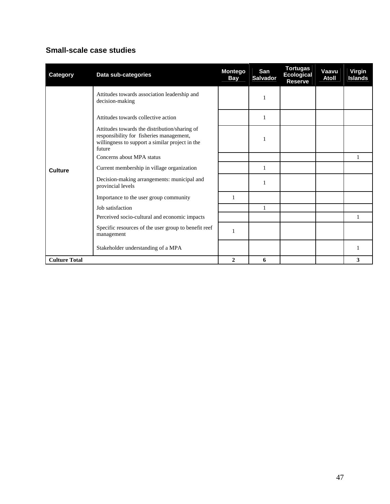### **Small-scale case studies**

| <b>Category</b>      | Data sub-categories                                                                                                                                    | <b>Montego</b><br><b>Bay</b> | San<br><b>Salvador</b> | <b>Tortugas</b><br><b>Ecological</b><br><b>Reserve</b> | Vaavu<br><b>Atoll</b> | Virgin<br><b>Islands</b> |
|----------------------|--------------------------------------------------------------------------------------------------------------------------------------------------------|------------------------------|------------------------|--------------------------------------------------------|-----------------------|--------------------------|
|                      | Attitudes towards association leadership and<br>decision-making                                                                                        |                              | 1                      |                                                        |                       |                          |
|                      | Attitudes towards collective action                                                                                                                    |                              | 1                      |                                                        |                       |                          |
|                      | Attitudes towards the distribution/sharing of<br>responsibility for fisheries management,<br>willingness to support a similar project in the<br>future |                              |                        |                                                        |                       |                          |
|                      | Concerns about MPA status                                                                                                                              |                              |                        |                                                        |                       | 1                        |
| <b>Culture</b>       | Current membership in village organization                                                                                                             |                              | 1                      |                                                        |                       |                          |
|                      | Decision-making arrangements: municipal and<br>provincial levels                                                                                       |                              | 1                      |                                                        |                       |                          |
|                      | Importance to the user group community                                                                                                                 | 1                            |                        |                                                        |                       |                          |
|                      | Job satisfaction                                                                                                                                       |                              | 1                      |                                                        |                       |                          |
|                      | Perceived socio-cultural and economic impacts                                                                                                          |                              |                        |                                                        |                       |                          |
|                      | Specific resources of the user group to benefit reef<br>management                                                                                     | $\mathbf{1}$                 |                        |                                                        |                       |                          |
|                      | Stakeholder understanding of a MPA                                                                                                                     |                              |                        |                                                        |                       |                          |
| <b>Culture Total</b> |                                                                                                                                                        | 2                            | 6                      |                                                        |                       | 3                        |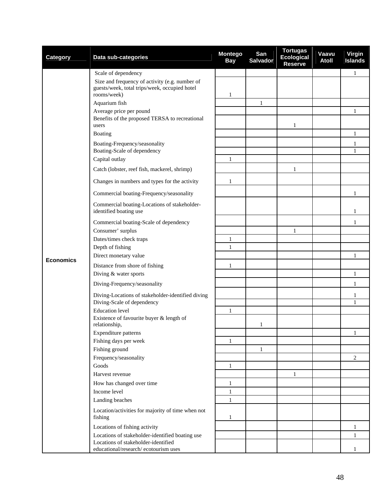| <b>Category</b>  | Data sub-categories                                                                                            | <b>Montego</b><br><b>Bay</b> | San<br><b>Salvador</b> | <b>Tortugas</b><br><b>Ecological</b><br><b>Reserve</b> | Vaavu<br><b>Atoll</b> | Virgin<br><b>Islands</b> |
|------------------|----------------------------------------------------------------------------------------------------------------|------------------------------|------------------------|--------------------------------------------------------|-----------------------|--------------------------|
|                  | Scale of dependency                                                                                            |                              |                        |                                                        |                       | $\mathbf{1}$             |
|                  | Size and frequency of activity (e.g. number of<br>guests/week, total trips/week, occupied hotel<br>rooms/week) | 1                            |                        |                                                        |                       |                          |
|                  | Aquarium fish                                                                                                  |                              | 1                      |                                                        |                       |                          |
|                  | Average price per pound<br>Benefits of the proposed TERSA to recreational                                      |                              |                        |                                                        |                       | 1                        |
|                  | users<br>Boating                                                                                               |                              |                        | $\mathbf{1}$                                           |                       | $\mathbf{1}$             |
|                  | Boating-Frequency/seasonality<br>Boating-Scale of dependency                                                   |                              |                        |                                                        |                       | 1<br>1                   |
|                  | Capital outlay                                                                                                 | 1                            |                        |                                                        |                       |                          |
|                  | Catch (lobster, reef fish, mackerel, shrimp)                                                                   |                              |                        | $\mathbf{1}$                                           |                       |                          |
|                  | Changes in numbers and types for the activity                                                                  | 1                            |                        |                                                        |                       |                          |
|                  | Commercial boating-Frequency/seasonality                                                                       |                              |                        |                                                        |                       | 1                        |
|                  | Commercial boating-Locations of stakeholder-<br>identified boating use                                         |                              |                        |                                                        |                       | 1                        |
|                  | Commercial boating-Scale of dependency                                                                         |                              |                        |                                                        |                       | 1                        |
|                  | Consumer' surplus<br>Dates/times check traps                                                                   | 1                            |                        | $\mathbf{1}$                                           |                       |                          |
|                  | Depth of fishing                                                                                               | $\mathbf{1}$                 |                        |                                                        |                       |                          |
|                  | Direct monetary value                                                                                          |                              |                        |                                                        |                       | 1                        |
| <b>Economics</b> | Distance from shore of fishing                                                                                 | 1                            |                        |                                                        |                       |                          |
|                  | Diving & water sports                                                                                          |                              |                        |                                                        |                       | 1                        |
|                  | Diving-Frequency/seasonality                                                                                   |                              |                        |                                                        |                       | $\mathbf{1}$             |
|                  |                                                                                                                |                              |                        |                                                        |                       |                          |
|                  | Diving-Locations of stakeholder-identified diving<br>Diving-Scale of dependency                                |                              |                        |                                                        |                       | $\mathbf{1}$<br>1        |
|                  | <b>Education</b> level                                                                                         | 1                            |                        |                                                        |                       |                          |
|                  | Existence of favourite buyer & length of<br>relationship,                                                      |                              | 1                      |                                                        |                       |                          |
|                  | Expenditure patterns                                                                                           |                              |                        |                                                        |                       | 1                        |
|                  | Fishing days per week                                                                                          | $\mathbf{1}$                 |                        |                                                        |                       |                          |
|                  | Fishing ground                                                                                                 |                              | $\mathbf{1}$           |                                                        |                       |                          |
|                  | Frequency/seasonality                                                                                          |                              |                        |                                                        |                       | $\overline{c}$           |
|                  | Goods                                                                                                          | $\mathbf{1}$                 |                        |                                                        |                       |                          |
|                  | Harvest revenue                                                                                                |                              |                        | 1                                                      |                       |                          |
|                  | How has changed over time                                                                                      | $\mathbf{1}$                 |                        |                                                        |                       |                          |
|                  | Income level<br>Landing beaches                                                                                | $\mathbf{1}$<br>$\mathbf{1}$ |                        |                                                        |                       |                          |
|                  |                                                                                                                |                              |                        |                                                        |                       |                          |
|                  | Location/activities for majority of time when not<br>fishing                                                   | 1                            |                        |                                                        |                       |                          |
|                  | Locations of fishing activity                                                                                  |                              |                        |                                                        |                       | 1                        |
|                  | Locations of stakeholder-identified boating use                                                                |                              |                        |                                                        |                       | $\mathbf{1}$             |
|                  | Locations of stakeholder-identified<br>educational/research/ecotourism uses                                    |                              |                        |                                                        |                       | $\mathbf{1}$             |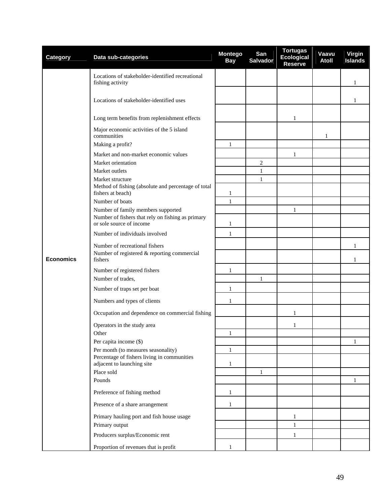| Category         | Data sub-categories                                                                      | <b>Montego</b><br><b>Bay</b> | San<br><b>Salvador</b> | <b>Tortugas</b><br><b>Ecological</b><br><b>Reserve</b> | Vaavu<br><b>Atoll</b> | Virgin<br><b>Islands</b> |
|------------------|------------------------------------------------------------------------------------------|------------------------------|------------------------|--------------------------------------------------------|-----------------------|--------------------------|
|                  | Locations of stakeholder-identified recreational<br>fishing activity                     |                              |                        |                                                        |                       | 1                        |
|                  | Locations of stakeholder-identified uses                                                 |                              |                        |                                                        |                       | 1                        |
|                  | Long term benefits from replenishment effects                                            |                              |                        | 1                                                      |                       |                          |
|                  | Major economic activities of the 5 island<br>communities                                 |                              |                        |                                                        | 1                     |                          |
|                  | Making a profit?                                                                         | 1                            |                        |                                                        |                       |                          |
|                  | Market and non-market economic values                                                    |                              |                        | 1                                                      |                       |                          |
|                  | Market orientation                                                                       |                              | $\overline{c}$         |                                                        |                       |                          |
|                  | Market outlets                                                                           |                              | $\mathbf{1}$           |                                                        |                       |                          |
|                  | Market structure                                                                         |                              | $\mathbf{1}$           |                                                        |                       |                          |
|                  | Method of fishing (absolute and percentage of total<br>fishers at beach)                 | 1                            |                        |                                                        |                       |                          |
|                  | Number of boats                                                                          | $\mathbf{1}$                 |                        |                                                        |                       |                          |
|                  | Number of family members supported                                                       |                              |                        | 1                                                      |                       |                          |
|                  | Number of fishers that rely on fishing as primary<br>or sole source of income            | 1                            |                        |                                                        |                       |                          |
|                  | Number of individuals involved                                                           | 1                            |                        |                                                        |                       |                          |
| <b>Economics</b> | Number of recreational fishers<br>Number of registered & reporting commercial<br>fishers |                              |                        |                                                        |                       | 1<br>1                   |
|                  | Number of registered fishers                                                             | 1                            |                        |                                                        |                       |                          |
|                  | Number of trades,                                                                        |                              | $\mathbf{1}$           |                                                        |                       |                          |
|                  | Number of traps set per boat                                                             | 1                            |                        |                                                        |                       |                          |
|                  | Numbers and types of clients                                                             | 1                            |                        |                                                        |                       |                          |
|                  | Occupation and dependence on commercial fishing                                          |                              |                        | 1                                                      |                       |                          |
|                  | Operators in the study area                                                              |                              |                        | 1                                                      |                       |                          |
|                  | Other                                                                                    | $\mathbf{1}$                 |                        |                                                        |                       |                          |
|                  | Per capita income (\$)                                                                   |                              |                        |                                                        |                       | 1                        |
|                  | Per month (to measures seasonality)                                                      | 1                            |                        |                                                        |                       |                          |
|                  | Percentage of fishers living in communities<br>adjacent to launching site                | 1                            |                        |                                                        |                       |                          |
|                  | Place sold                                                                               |                              | $\mathbf{1}$           |                                                        |                       |                          |
|                  | Pounds                                                                                   |                              |                        |                                                        |                       | 1                        |
|                  | Preference of fishing method                                                             | 1                            |                        |                                                        |                       |                          |
|                  | Presence of a share arrangement                                                          | 1                            |                        |                                                        |                       |                          |
|                  | Primary hauling port and fish house usage                                                |                              |                        | 1                                                      |                       |                          |
|                  | Primary output                                                                           |                              |                        | $\,1\,$                                                |                       |                          |
|                  | Producers surplus/Economic rent                                                          |                              |                        | $\mathbf{1}$                                           |                       |                          |
|                  | Proportion of revenues that is profit                                                    |                              |                        |                                                        |                       |                          |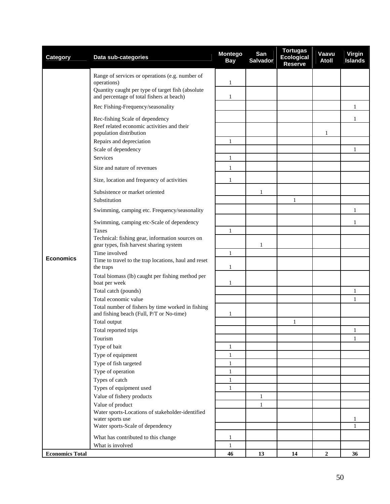| <b>Category</b>        | Data sub-categories                                                                            | <b>Montego</b><br><b>Bay</b> | San<br><b>Salvador</b> | <b>Tortugas</b><br><b>Ecological</b><br><b>Reserve</b> | Vaavu<br><b>Atoll</b> | Virgin<br><b>Islands</b> |
|------------------------|------------------------------------------------------------------------------------------------|------------------------------|------------------------|--------------------------------------------------------|-----------------------|--------------------------|
|                        | Range of services or operations (e.g. number of                                                |                              |                        |                                                        |                       |                          |
|                        | operations)                                                                                    | $\mathbf{1}$                 |                        |                                                        |                       |                          |
|                        | Quantity caught per type of target fish (absolute<br>and percentage of total fishers at beach) | 1                            |                        |                                                        |                       |                          |
|                        | Rec Fishing-Frequency/seasonality                                                              |                              |                        |                                                        |                       | 1                        |
|                        | Rec-fishing Scale of dependency                                                                |                              |                        |                                                        |                       | 1                        |
|                        | Reef related economic activities and their<br>population distribution                          |                              |                        |                                                        | 1                     |                          |
|                        | Repairs and depreciation                                                                       | $\mathbf{1}$                 |                        |                                                        |                       |                          |
|                        | Scale of dependency                                                                            |                              |                        |                                                        |                       | 1                        |
|                        | Services                                                                                       | $\mathbf{1}$                 |                        |                                                        |                       |                          |
|                        | Size and nature of revenues                                                                    | 1                            |                        |                                                        |                       |                          |
|                        | Size, location and frequency of activities                                                     | 1                            |                        |                                                        |                       |                          |
|                        | Subsistence or market oriented                                                                 |                              | 1                      |                                                        |                       |                          |
|                        | Substitution                                                                                   |                              |                        | 1                                                      |                       |                          |
|                        | Swimming, camping etc. Frequency/seasonality                                                   |                              |                        |                                                        |                       | 1                        |
|                        | Swimming, camping etc-Scale of dependency                                                      |                              |                        |                                                        |                       | 1                        |
|                        | Taxes                                                                                          | $\mathbf{1}$                 |                        |                                                        |                       |                          |
|                        | Technical: fishing gear, information sources on<br>gear types, fish harvest sharing system     |                              | 1                      |                                                        |                       |                          |
|                        | Time involved                                                                                  | $\mathbf{1}$                 |                        |                                                        |                       |                          |
| <b>Economics</b>       | Time to travel to the trap locations, haul and reset                                           |                              |                        |                                                        |                       |                          |
|                        | the traps                                                                                      | $\mathbf{1}$                 |                        |                                                        |                       |                          |
|                        | Total biomass (lb) caught per fishing method per<br>boat per week                              | $\mathbf{1}$                 |                        |                                                        |                       |                          |
|                        | Total catch (pounds)                                                                           |                              |                        |                                                        |                       | 1                        |
|                        | Total economic value                                                                           |                              |                        |                                                        |                       | $\mathbf{1}$             |
|                        | Total number of fishers by time worked in fishing<br>and fishing beach (Full, P/T or No-time)  | 1                            |                        |                                                        |                       |                          |
|                        | Total output                                                                                   |                              |                        | $\mathbf{1}$                                           |                       |                          |
|                        | Total reported trips                                                                           |                              |                        |                                                        |                       | $\mathbf{1}$             |
|                        | Tourism                                                                                        |                              |                        |                                                        |                       | 1                        |
|                        | Type of bait                                                                                   | $\mathbf{1}$                 |                        |                                                        |                       |                          |
|                        | Type of equipment                                                                              | 1                            |                        |                                                        |                       |                          |
|                        | Type of fish targeted                                                                          | $\mathbf{1}$                 |                        |                                                        |                       |                          |
|                        | Type of operation                                                                              | $\mathbf{1}$                 |                        |                                                        |                       |                          |
|                        | Types of catch                                                                                 | $\mathbf{1}$                 |                        |                                                        |                       |                          |
|                        | Types of equipment used                                                                        | 1                            |                        |                                                        |                       |                          |
|                        | Value of fishery products                                                                      |                              | 1                      |                                                        |                       |                          |
|                        | Value of product                                                                               |                              | 1                      |                                                        |                       |                          |
|                        | Water sports-Locations of stakeholder-identified                                               |                              |                        |                                                        |                       |                          |
|                        | water sports use<br>Water sports-Scale of dependency                                           |                              |                        |                                                        |                       | 1<br>$\mathbf{1}$        |
|                        | What has contributed to this change                                                            | $\mathbf{1}$                 |                        |                                                        |                       |                          |
|                        | What is involved                                                                               | $\mathbf{1}$                 |                        |                                                        |                       |                          |
| <b>Economics Total</b> |                                                                                                | 46                           | 13                     | 14                                                     | $\boldsymbol{2}$      | 36                       |
|                        |                                                                                                |                              |                        |                                                        |                       |                          |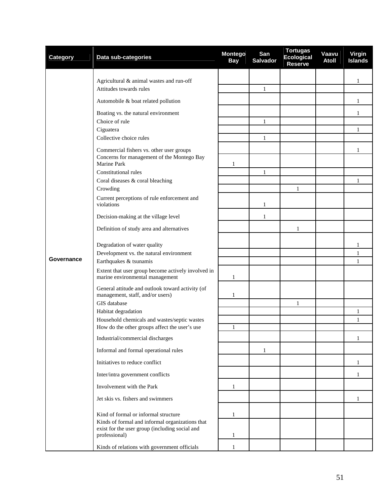| Category   | Data sub-categories                                                                               | Montego<br><b>Bay</b> | San<br><b>Salvador</b> | <b>Tortugas</b><br><b>Ecological</b><br><b>Reserve</b> | Vaavu<br><b>Atoll</b> | Virgin<br><b>Islands</b> |
|------------|---------------------------------------------------------------------------------------------------|-----------------------|------------------------|--------------------------------------------------------|-----------------------|--------------------------|
|            |                                                                                                   |                       |                        |                                                        |                       |                          |
|            | Agricultural & animal wastes and run-off<br>Attitudes towards rules                               |                       | $\mathbf{1}$           |                                                        |                       | 1                        |
|            |                                                                                                   |                       |                        |                                                        |                       |                          |
|            | Automobile & boat related pollution                                                               |                       |                        |                                                        |                       | 1                        |
|            | Boating vs. the natural environment                                                               |                       |                        |                                                        |                       | $\mathbf{1}$             |
|            | Choice of rule                                                                                    |                       | $\mathbf{1}$           |                                                        |                       |                          |
|            | Ciguatera<br>Collective choice rules                                                              |                       |                        |                                                        |                       | $\mathbf{1}$             |
|            |                                                                                                   |                       | $\mathbf{1}$           |                                                        |                       |                          |
|            | Commercial fishers vs. other user groups<br>Concerns for management of the Montego Bay            |                       |                        |                                                        |                       | 1                        |
|            | Marine Park<br>Constitutional rules                                                               | 1                     | $\mathbf{1}$           |                                                        |                       |                          |
|            | Coral diseases & coral bleaching                                                                  |                       |                        |                                                        |                       | $\mathbf{1}$             |
|            | Crowding                                                                                          |                       |                        | $\mathbf{1}$                                           |                       |                          |
|            | Current perceptions of rule enforcement and                                                       |                       |                        |                                                        |                       |                          |
|            | violations                                                                                        |                       | 1                      |                                                        |                       |                          |
|            | Decision-making at the village level                                                              |                       | $\mathbf{1}$           |                                                        |                       |                          |
|            | Definition of study area and alternatives                                                         |                       |                        | 1                                                      |                       |                          |
|            | Degradation of water quality                                                                      |                       |                        |                                                        |                       | 1                        |
| Governance | Development vs. the natural environment                                                           |                       |                        |                                                        |                       | $\mathbf{1}$             |
|            | Earthquakes & tsunamis                                                                            |                       |                        |                                                        |                       | $\mathbf{1}$             |
|            | Extent that user group become actively involved in<br>marine environmental management             | $\mathbf{1}$          |                        |                                                        |                       |                          |
|            | General attitude and outlook toward activity (of<br>management, staff, and/or users)              | $\mathbf{1}$          |                        |                                                        |                       |                          |
|            | GIS database                                                                                      |                       |                        | $\mathbf{1}$                                           |                       |                          |
|            | Habitat degradation                                                                               |                       |                        |                                                        |                       | $\mathbf{1}$             |
|            | Household chemicals and wastes/septic wastes<br>How do the other groups affect the user's use     | $\mathbf{1}$          |                        |                                                        |                       | 1                        |
|            |                                                                                                   |                       |                        |                                                        |                       |                          |
|            | Industrial/commercial discharges                                                                  |                       |                        |                                                        |                       | 1                        |
|            | Informal and formal operational rules                                                             |                       | $\mathbf{1}$           |                                                        |                       |                          |
|            | Initiatives to reduce conflict                                                                    |                       |                        |                                                        |                       | 1                        |
|            | Inter/intra government conflicts                                                                  |                       |                        |                                                        |                       | $\mathbf{1}$             |
|            | Involvement with the Park                                                                         | 1                     |                        |                                                        |                       |                          |
|            | Jet skis vs. fishers and swimmers                                                                 |                       |                        |                                                        |                       | $\mathbf{1}$             |
|            | Kind of formal or informal structure                                                              | $\mathbf{1}$          |                        |                                                        |                       |                          |
|            | Kinds of formal and informal organizations that<br>exist for the user group (including social and |                       |                        |                                                        |                       |                          |
|            | professional)                                                                                     | 1                     |                        |                                                        |                       |                          |
|            | Kinds of relations with government officials                                                      | 1                     |                        |                                                        |                       |                          |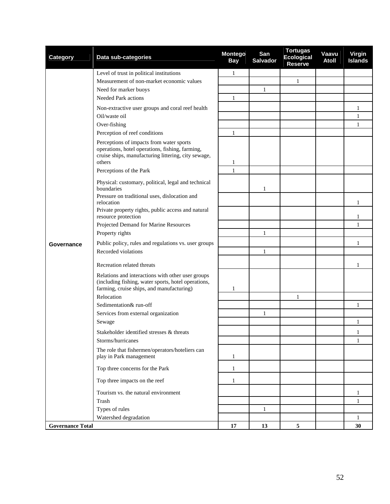| Category                | Data sub-categories                                                                                                                                          | Montego<br><b>Bay</b> | San<br><b>Salvador</b> | <b>Tortugas</b><br><b>Ecological</b><br><b>Reserve</b> | Vaavu<br><b>Atoll</b> | Virgin<br><b>Islands</b> |
|-------------------------|--------------------------------------------------------------------------------------------------------------------------------------------------------------|-----------------------|------------------------|--------------------------------------------------------|-----------------------|--------------------------|
|                         | Level of trust in political institutions                                                                                                                     | $\mathbf{1}$          |                        |                                                        |                       |                          |
|                         | Measurement of non-market economic values                                                                                                                    |                       |                        | 1                                                      |                       |                          |
|                         | Need for marker buoys                                                                                                                                        |                       | 1                      |                                                        |                       |                          |
|                         | Needed Park actions                                                                                                                                          | 1                     |                        |                                                        |                       |                          |
|                         | Non-extractive user groups and coral reef health                                                                                                             |                       |                        |                                                        |                       | 1                        |
|                         | Oil/waste oil                                                                                                                                                |                       |                        |                                                        |                       | $\mathbf{1}$             |
|                         | Over-fishing                                                                                                                                                 |                       |                        |                                                        |                       | $\mathbf{1}$             |
|                         | Perception of reef conditions                                                                                                                                | $\mathbf{1}$          |                        |                                                        |                       |                          |
|                         | Perceptions of impacts from water sports<br>operations, hotel operations, fishing, farming,<br>cruise ships, manufacturing littering, city sewage,<br>others | 1                     |                        |                                                        |                       |                          |
|                         | Perceptions of the Park                                                                                                                                      | $\mathbf{1}$          |                        |                                                        |                       |                          |
|                         | Physical: customary, political, legal and technical<br>boundaries                                                                                            |                       |                        |                                                        |                       |                          |
|                         | Pressure on traditional uses, dislocation and<br>relocation                                                                                                  |                       |                        |                                                        |                       | 1                        |
|                         | Private property rights, public access and natural<br>resource protection                                                                                    |                       |                        |                                                        |                       | 1                        |
|                         | Projected Demand for Marine Resources                                                                                                                        |                       |                        |                                                        |                       | 1                        |
|                         | Property rights                                                                                                                                              |                       | 1                      |                                                        |                       |                          |
| Governance              | Public policy, rules and regulations vs. user groups                                                                                                         |                       |                        |                                                        |                       | 1                        |
|                         | Recorded violations                                                                                                                                          |                       | 1                      |                                                        |                       |                          |
|                         | Recreation related threats                                                                                                                                   |                       |                        |                                                        |                       | 1                        |
|                         | Relations and interactions with other user groups<br>(including fishing, water sports, hotel operations,<br>farming, cruise ships, and manufacturing)        | 1                     |                        |                                                        |                       |                          |
|                         | Relocation                                                                                                                                                   |                       |                        | $\mathbf{1}$                                           |                       |                          |
|                         | Sedimentation& run-off                                                                                                                                       |                       |                        |                                                        |                       | 1                        |
|                         | Services from external organization<br>Sewage                                                                                                                |                       | 1                      |                                                        |                       | $\mathbf{1}$             |
|                         |                                                                                                                                                              |                       |                        |                                                        |                       |                          |
|                         | Stakeholder identified stresses & threats                                                                                                                    |                       |                        |                                                        |                       | 1<br>$\mathbf{1}$        |
|                         | Storms/hurricanes                                                                                                                                            |                       |                        |                                                        |                       |                          |
|                         | The role that fishermen/operators/hoteliers can<br>play in Park management                                                                                   | 1                     |                        |                                                        |                       |                          |
|                         | Top three concerns for the Park                                                                                                                              | $\mathbf{1}$          |                        |                                                        |                       |                          |
|                         | Top three impacts on the reef                                                                                                                                | $\mathbf{1}$          |                        |                                                        |                       |                          |
|                         | Tourism vs. the natural environment<br>Trash                                                                                                                 |                       |                        |                                                        |                       | 1<br>$\mathbf{1}$        |
|                         | Types of rules                                                                                                                                               |                       | $\mathbf{1}$           |                                                        |                       |                          |
|                         | Watershed degradation                                                                                                                                        |                       |                        |                                                        |                       | $\mathbf{1}$             |
| <b>Governance Total</b> |                                                                                                                                                              | $17\,$                | 13                     | 5                                                      |                       | 30                       |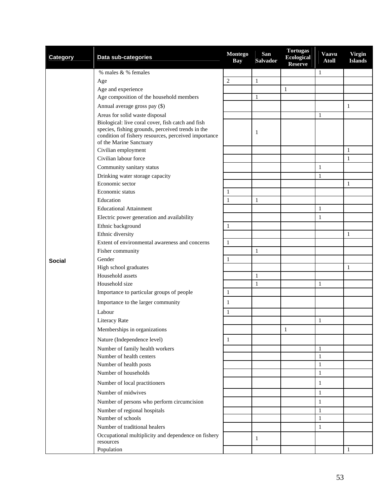| Category      | Data sub-categories                                                                                                                                                                       | <b>Montego</b><br><b>Bay</b> | San<br><b>Salvador</b> | <b>Tortugas</b><br><b>Ecological</b><br><b>Reserve</b> | <b>Vaavu</b><br><b>Atoll</b> | <b>Virgin</b><br><b>Islands</b> |
|---------------|-------------------------------------------------------------------------------------------------------------------------------------------------------------------------------------------|------------------------------|------------------------|--------------------------------------------------------|------------------------------|---------------------------------|
|               | % males & % females                                                                                                                                                                       |                              |                        |                                                        | $\mathbf{1}$                 |                                 |
|               | Age                                                                                                                                                                                       | $\overline{c}$               | 1                      |                                                        |                              |                                 |
|               | Age and experience                                                                                                                                                                        |                              |                        | $\mathbf{1}$                                           |                              |                                 |
|               | Age composition of the household members                                                                                                                                                  |                              | 1                      |                                                        |                              |                                 |
|               | Annual average gross pay (\$)                                                                                                                                                             |                              |                        |                                                        |                              | $\mathbf{1}$                    |
|               | Areas for solid waste disposal                                                                                                                                                            |                              |                        |                                                        | $\mathbf{1}$                 |                                 |
|               | Biological: live coral cover, fish catch and fish<br>species, fishing grounds, perceived trends in the<br>condition of fishery resources, perceived importance<br>of the Marine Sanctuary |                              | 1                      |                                                        |                              |                                 |
|               | Civilian employment                                                                                                                                                                       |                              |                        |                                                        |                              | $\mathbf{1}$                    |
|               | Civilian labour force                                                                                                                                                                     |                              |                        |                                                        |                              | $\mathbf{1}$                    |
|               | Community sanitary status                                                                                                                                                                 |                              |                        |                                                        | 1                            |                                 |
|               | Drinking water storage capacity                                                                                                                                                           |                              |                        |                                                        | $\mathbf{1}$                 |                                 |
|               | Economic sector                                                                                                                                                                           |                              |                        |                                                        |                              | 1                               |
|               | Economic status                                                                                                                                                                           | 1                            |                        |                                                        |                              |                                 |
|               | Education                                                                                                                                                                                 | 1                            | $\mathbf{1}$           |                                                        |                              |                                 |
|               | <b>Educational Attainment</b>                                                                                                                                                             |                              |                        |                                                        | 1                            |                                 |
|               | Electric power generation and availability                                                                                                                                                |                              |                        |                                                        | 1                            |                                 |
|               | Ethnic background                                                                                                                                                                         | 1                            |                        |                                                        |                              |                                 |
|               | Ethnic diversity                                                                                                                                                                          |                              |                        |                                                        |                              | $\mathbf{1}$                    |
|               | Extent of environmental awareness and concerns                                                                                                                                            | 1                            |                        |                                                        |                              |                                 |
|               | Fisher community                                                                                                                                                                          |                              | 1                      |                                                        |                              |                                 |
| <b>Social</b> | Gender                                                                                                                                                                                    | 1                            |                        |                                                        |                              |                                 |
|               | High school graduates                                                                                                                                                                     |                              |                        |                                                        |                              | 1                               |
|               | Household assets                                                                                                                                                                          |                              | 1                      |                                                        |                              |                                 |
|               | Household size                                                                                                                                                                            |                              | 1                      |                                                        | 1                            |                                 |
|               | Importance to particular groups of people                                                                                                                                                 | $\mathbf{1}$                 |                        |                                                        |                              |                                 |
|               | Importance to the larger community                                                                                                                                                        | $\mathbf{1}$                 |                        |                                                        |                              |                                 |
|               | Labour                                                                                                                                                                                    | 1                            |                        |                                                        |                              |                                 |
|               | Literacy Rate                                                                                                                                                                             |                              |                        |                                                        | 1                            |                                 |
|               | Memberships in organizations                                                                                                                                                              |                              |                        | 1                                                      |                              |                                 |
|               | Nature (Independence level)                                                                                                                                                               | $\mathbf{1}$                 |                        |                                                        |                              |                                 |
|               | Number of family health workers                                                                                                                                                           |                              |                        |                                                        | 1                            |                                 |
|               | Number of health centers                                                                                                                                                                  |                              |                        |                                                        | $\mathbf{1}$                 |                                 |
|               | Number of health posts                                                                                                                                                                    |                              |                        |                                                        | $\mathbf{1}$                 |                                 |
|               | Number of households                                                                                                                                                                      |                              |                        |                                                        | $\mathbf{1}$                 |                                 |
|               | Number of local practitioners                                                                                                                                                             |                              |                        |                                                        | $\mathbf{1}$                 |                                 |
|               | Number of midwives                                                                                                                                                                        |                              |                        |                                                        | $\mathbf{1}$                 |                                 |
|               | Number of persons who perform circumcision                                                                                                                                                |                              |                        |                                                        | $\mathbf{1}$                 |                                 |
|               | Number of regional hospitals                                                                                                                                                              |                              |                        |                                                        | 1                            |                                 |
|               | Number of schools                                                                                                                                                                         |                              |                        |                                                        | $\mathbf{1}$                 |                                 |
|               | Number of traditional healers                                                                                                                                                             |                              |                        |                                                        | $\mathbf{1}$                 |                                 |
|               | Occupational multiplicity and dependence on fishery<br>resources                                                                                                                          |                              | $\mathbf{1}$           |                                                        |                              |                                 |
|               | Population                                                                                                                                                                                |                              |                        |                                                        |                              | $\mathbf{1}$                    |